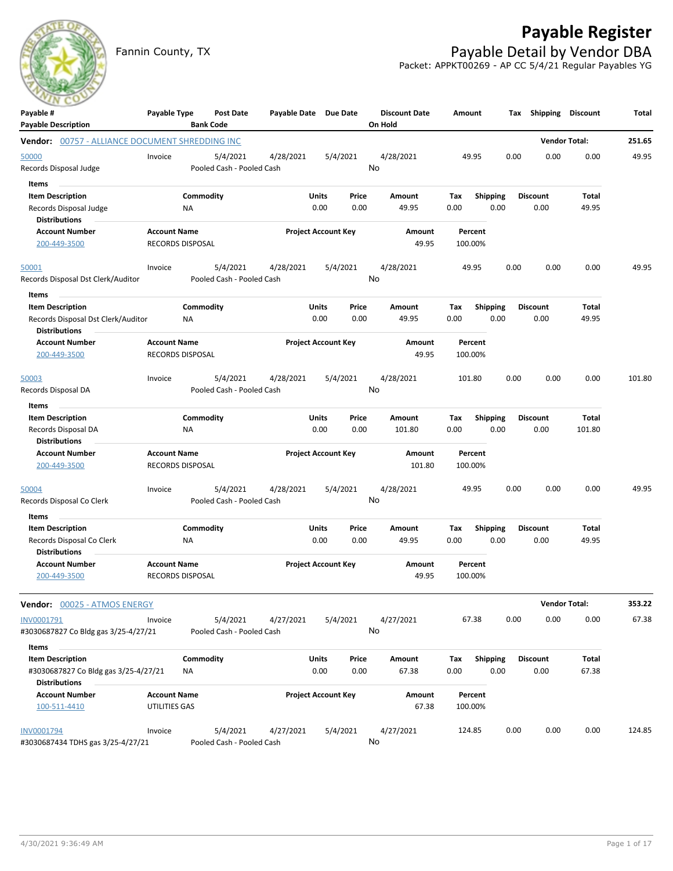

## **Payable Register**

Fannin County, TX **Payable Detail by Vendor DBA** Packet: APPKT00269 - AP CC 5/4/21 Regular Payables YG

| Payable #<br><b>Payable Description</b>                                                          | Payable Type                                   | Post Date<br><b>Bank Code</b>         | Payable Date Due Date |                                | <b>Discount Date</b><br>On Hold | Amount             | Тах                     | <b>Shipping</b>         | <b>Discount</b>      | Total  |
|--------------------------------------------------------------------------------------------------|------------------------------------------------|---------------------------------------|-----------------------|--------------------------------|---------------------------------|--------------------|-------------------------|-------------------------|----------------------|--------|
| Vendor: 00757 - ALLIANCE DOCUMENT SHREDDING INC                                                  |                                                |                                       |                       |                                |                                 |                    |                         |                         | <b>Vendor Total:</b> | 251.65 |
| 50000<br>Records Disposal Judge                                                                  | Invoice                                        | 5/4/2021<br>Pooled Cash - Pooled Cash | 4/28/2021             | 5/4/2021                       | 4/28/2021<br>No                 | 49.95              | 0.00                    | 0.00                    | 0.00                 | 49.95  |
| Items<br><b>Item Description</b><br>Records Disposal Judge<br><b>Distributions</b>               | NA                                             | Commodity                             |                       | Units<br>Price<br>0.00<br>0.00 | Amount<br>49.95                 | Тах<br>0.00        | <b>Shipping</b><br>0.00 | <b>Discount</b><br>0.00 | Total<br>49.95       |        |
| <b>Account Number</b><br>200-449-3500                                                            | <b>Account Name</b><br><b>RECORDS DISPOSAL</b> |                                       |                       | <b>Project Account Key</b>     | Amount<br>49.95                 | Percent<br>100.00% |                         |                         |                      |        |
| <u>50001</u><br>Records Disposal Dst Clerk/Auditor                                               | Invoice                                        | 5/4/2021<br>Pooled Cash - Pooled Cash | 4/28/2021             | 5/4/2021                       | 4/28/2021<br>No                 | 49.95              | 0.00                    | 0.00                    | 0.00                 | 49.95  |
| Items<br><b>Item Description</b><br>Records Disposal Dst Clerk/Auditor<br><b>Distributions</b>   | ΝA                                             | Commodity                             |                       | Units<br>Price<br>0.00<br>0.00 | Amount<br>49.95                 | Tax<br>0.00        | Shipping<br>0.00        | <b>Discount</b><br>0.00 | Total<br>49.95       |        |
| <b>Account Number</b><br>200-449-3500                                                            | <b>Account Name</b><br><b>RECORDS DISPOSAL</b> |                                       |                       | <b>Project Account Key</b>     | Amount<br>49.95                 | Percent<br>100.00% |                         |                         |                      |        |
| 50003<br>Records Disposal DA                                                                     | Invoice                                        | 5/4/2021<br>Pooled Cash - Pooled Cash | 4/28/2021             | 5/4/2021                       | 4/28/2021<br>No                 | 101.80             | 0.00                    | 0.00                    | 0.00                 | 101.80 |
| Items<br><b>Item Description</b><br>Records Disposal DA<br><b>Distributions</b>                  | NA                                             | Commodity                             |                       | Units<br>Price<br>0.00<br>0.00 | Amount<br>101.80                | Tax<br>0.00        | <b>Shipping</b><br>0.00 | <b>Discount</b><br>0.00 | Total<br>101.80      |        |
| <b>Account Number</b><br>200-449-3500                                                            | <b>Account Name</b><br>RECORDS DISPOSAL        |                                       |                       | <b>Project Account Key</b>     | Amount<br>101.80                | Percent<br>100.00% |                         |                         |                      |        |
| 50004<br>Records Disposal Co Clerk                                                               | Invoice                                        | 5/4/2021<br>Pooled Cash - Pooled Cash | 4/28/2021             | 5/4/2021                       | 4/28/2021<br>No                 | 49.95              | 0.00                    | 0.00                    | 0.00                 | 49.95  |
| Items<br><b>Item Description</b><br>Records Disposal Co Clerk<br><b>Distributions</b>            | ΝA                                             | Commodity                             |                       | Units<br>Price<br>0.00<br>0.00 | Amount<br>49.95                 | Tax<br>0.00        | <b>Shipping</b><br>0.00 | <b>Discount</b><br>0.00 | Total<br>49.95       |        |
| <b>Account Number</b><br>200-449-3500                                                            | <b>Account Name</b><br><b>RECORDS DISPOSAL</b> |                                       |                       | <b>Project Account Key</b>     | Amount<br>49.95                 | Percent<br>100.00% |                         |                         |                      |        |
| Vendor: 00025 - ATMOS ENERGY                                                                     |                                                |                                       |                       |                                |                                 |                    |                         |                         | <b>Vendor Total:</b> | 353.22 |
| INV0001791<br>#3030687827 Co Bldg gas 3/25-4/27/21                                               | Invoice                                        | 5/4/2021<br>Pooled Cash - Pooled Cash | 4/27/2021             | 5/4/2021                       | 4/27/2021<br>No                 | 67.38              | 0.00                    | 0.00                    | 0.00                 | 67.38  |
| Items<br><b>Item Description</b><br>#3030687827 Co Bldg gas 3/25-4/27/21<br><b>Distributions</b> | ΝA                                             | Commodity                             |                       | Units<br>Price<br>0.00<br>0.00 | Amount<br>67.38                 | Tax<br>0.00        | Shipping<br>0.00        | <b>Discount</b><br>0.00 | Total<br>67.38       |        |
| <b>Account Number</b><br>100-511-4410                                                            | <b>Account Name</b><br>UTILITIES GAS           |                                       |                       | <b>Project Account Key</b>     | Amount<br>67.38                 | Percent<br>100.00% |                         |                         |                      |        |
| INV0001794<br>#3030687434 TDHS gas 3/25-4/27/21                                                  | Invoice                                        | 5/4/2021<br>Pooled Cash - Pooled Cash | 4/27/2021             | 5/4/2021                       | 4/27/2021<br>No                 | 124.85             | 0.00                    | 0.00                    | 0.00                 | 124.85 |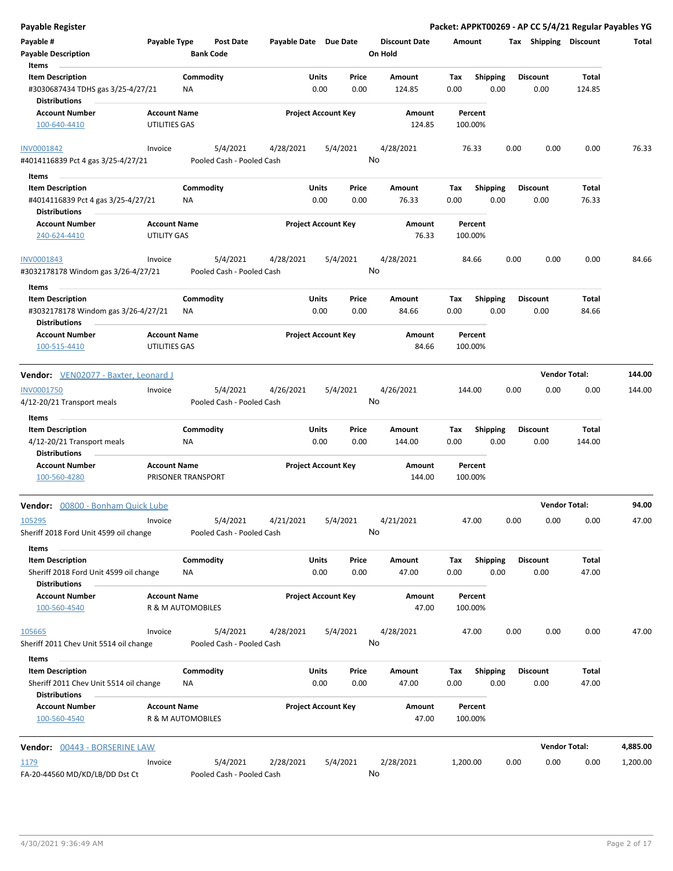| <b>Payable Register</b>                                           |                                           |                 |                                       |                       |               |                            |                                 |             |                         |      |                         | Packet: APPKT00269 - AP CC 5/4/21 Regular Payables YG |          |
|-------------------------------------------------------------------|-------------------------------------------|-----------------|---------------------------------------|-----------------------|---------------|----------------------------|---------------------------------|-------------|-------------------------|------|-------------------------|-------------------------------------------------------|----------|
| Payable #<br><b>Payable Description</b>                           | Payable Type                              |                 | <b>Post Date</b><br><b>Bank Code</b>  | Payable Date Due Date |               |                            | <b>Discount Date</b><br>On Hold | Amount      |                         |      | Tax Shipping Discount   |                                                       | Total    |
| Items                                                             |                                           |                 |                                       |                       |               |                            |                                 |             |                         |      |                         |                                                       |          |
| <b>Item Description</b>                                           |                                           | Commodity       |                                       |                       | Units         | Price                      | Amount                          | Tax         | <b>Shipping</b>         |      | <b>Discount</b>         | <b>Total</b>                                          |          |
| #3030687434 TDHS gas 3/25-4/27/21<br><b>Distributions</b>         |                                           | ΝA              |                                       |                       | 0.00          | 0.00                       | 124.85                          | 0.00        | 0.00                    |      | 0.00                    | 124.85                                                |          |
| <b>Account Number</b>                                             | <b>Account Name</b>                       |                 |                                       |                       |               | <b>Project Account Key</b> | Amount                          |             | Percent                 |      |                         |                                                       |          |
| 100-640-4410                                                      | UTILITIES GAS                             |                 |                                       |                       |               |                            | 124.85                          |             | 100.00%                 |      |                         |                                                       |          |
| INV0001842                                                        | Invoice                                   |                 | 5/4/2021                              | 4/28/2021             |               | 5/4/2021                   | 4/28/2021<br>No                 |             | 76.33                   | 0.00 | 0.00                    | 0.00                                                  | 76.33    |
| #4014116839 Pct 4 gas 3/25-4/27/21                                |                                           |                 | Pooled Cash - Pooled Cash             |                       |               |                            |                                 |             |                         |      |                         |                                                       |          |
| Items                                                             |                                           |                 |                                       |                       |               |                            |                                 |             |                         |      |                         |                                                       |          |
| <b>Item Description</b>                                           |                                           | Commodity       |                                       |                       | Units         | Price                      | Amount                          | Tax         | <b>Shipping</b>         |      | <b>Discount</b>         | Total                                                 |          |
| #4014116839 Pct 4 gas 3/25-4/27/21<br>Distributions               |                                           | ΝA              |                                       |                       | 0.00          | 0.00                       | 76.33                           | 0.00        | 0.00                    |      | 0.00                    | 76.33                                                 |          |
| <b>Account Number</b>                                             | <b>Account Name</b>                       |                 |                                       |                       |               | <b>Project Account Key</b> | Amount                          |             | Percent                 |      |                         |                                                       |          |
| 240-624-4410                                                      | <b>UTILITY GAS</b>                        |                 |                                       |                       |               |                            | 76.33                           |             | 100.00%                 |      |                         |                                                       |          |
| INV0001843<br>#3032178178 Windom gas 3/26-4/27/21                 | Invoice                                   |                 | 5/4/2021<br>Pooled Cash - Pooled Cash | 4/28/2021             |               | 5/4/2021                   | 4/28/2021<br>No                 |             | 84.66                   | 0.00 | 0.00                    | 0.00                                                  | 84.66    |
| Items                                                             |                                           |                 |                                       |                       |               |                            |                                 |             |                         |      |                         |                                                       |          |
| <b>Item Description</b>                                           |                                           | Commodity       |                                       |                       | Units         | Price                      | Amount                          | Tax         | <b>Shipping</b>         |      | <b>Discount</b>         | <b>Total</b>                                          |          |
| #3032178178 Windom gas 3/26-4/27/21<br>Distributions              |                                           | ΝA              |                                       |                       | 0.00          | 0.00                       | 84.66                           | 0.00        | 0.00                    |      | 0.00                    | 84.66                                                 |          |
| <b>Account Number</b><br>100-515-4410                             | <b>Account Name</b><br>UTILITIES GAS      |                 |                                       |                       |               | <b>Project Account Key</b> | Amount<br>84.66                 |             | Percent<br>100.00%      |      |                         |                                                       |          |
| Vendor: VEN02077 - Baxter, Leonard J                              |                                           |                 |                                       |                       |               |                            |                                 |             |                         |      |                         | <b>Vendor Total:</b>                                  | 144.00   |
| INV0001750                                                        | Invoice                                   |                 | 5/4/2021                              | 4/26/2021             |               | 5/4/2021                   | 4/26/2021                       |             | 144.00                  | 0.00 | 0.00                    | 0.00                                                  | 144.00   |
| 4/12-20/21 Transport meals                                        |                                           |                 | Pooled Cash - Pooled Cash             |                       |               |                            | No                              |             |                         |      |                         |                                                       |          |
| Items                                                             |                                           |                 |                                       |                       |               |                            |                                 |             |                         |      |                         |                                                       |          |
| <b>Item Description</b>                                           |                                           | Commodity       |                                       |                       | Units         | Price                      | Amount                          | Tax         | <b>Shipping</b>         |      | <b>Discount</b>         | Total                                                 |          |
| 4/12-20/21 Transport meals<br><b>Distributions</b>                |                                           | ΝA              |                                       |                       | 0.00          | 0.00                       | 144.00                          | 0.00        | 0.00                    |      | 0.00                    | 144.00                                                |          |
| <b>Account Number</b><br>100-560-4280                             | <b>Account Name</b><br>PRISONER TRANSPORT |                 |                                       |                       |               | <b>Project Account Key</b> | Amount<br>144.00                |             | Percent<br>100.00%      |      |                         |                                                       |          |
| Vendor: 00800 - Bonham Quick Lube                                 |                                           |                 |                                       |                       |               |                            |                                 |             |                         |      |                         | <b>Vendor Total:</b>                                  | 94.00    |
| 105295                                                            | Invoice                                   |                 | 5/4/2021                              | 4/21/2021             |               | 5/4/2021                   | 4/21/2021                       |             | 47.00                   | 0.00 | 0.00                    | 0.00                                                  | 47.00    |
| Sheriff 2018 Ford Unit 4599 oil change                            |                                           |                 | Pooled Cash - Pooled Cash             |                       |               |                            | No                              |             |                         |      |                         |                                                       |          |
| Items<br><b>Item Description</b>                                  |                                           | Commodity       |                                       |                       | Units         | Price                      | Amount                          | Tax         | Shipping                |      | <b>Discount</b>         | Total                                                 |          |
| Sheriff 2018 Ford Unit 4599 oil change<br><b>Distributions</b>    |                                           | NA              |                                       |                       | 0.00          | 0.00                       | 47.00                           | 0.00        | 0.00                    |      | 0.00                    | 47.00                                                 |          |
| <b>Account Number</b><br>100-560-4540                             | <b>Account Name</b><br>R & M AUTOMOBILES  |                 |                                       |                       |               | <b>Project Account Key</b> | Amount<br>47.00                 |             | Percent<br>100.00%      |      |                         |                                                       |          |
|                                                                   |                                           |                 |                                       |                       |               |                            |                                 |             |                         |      |                         |                                                       |          |
| 105665<br>Sheriff 2011 Chev Unit 5514 oil change                  | Invoice                                   |                 | 5/4/2021<br>Pooled Cash - Pooled Cash | 4/28/2021             |               | 5/4/2021                   | 4/28/2021<br>No                 |             | 47.00                   | 0.00 | 0.00                    | 0.00                                                  | 47.00    |
| Items                                                             |                                           |                 |                                       |                       |               |                            |                                 |             |                         |      |                         |                                                       |          |
| <b>Item Description</b><br>Sheriff 2011 Chev Unit 5514 oil change |                                           | Commodity<br>ΝA |                                       |                       | Units<br>0.00 | Price<br>0.00              | Amount<br>47.00                 | Тах<br>0.00 | <b>Shipping</b><br>0.00 |      | <b>Discount</b><br>0.00 | Total<br>47.00                                        |          |
| <b>Distributions</b>                                              |                                           |                 |                                       |                       |               |                            |                                 |             |                         |      |                         |                                                       |          |
| <b>Account Number</b><br>100-560-4540                             | <b>Account Name</b><br>R & M AUTOMOBILES  |                 |                                       |                       |               | <b>Project Account Key</b> | Amount<br>47.00                 |             | Percent<br>100.00%      |      |                         |                                                       |          |
| Vendor: 00443 - BORSERINE LAW                                     |                                           |                 |                                       |                       |               |                            |                                 |             |                         |      |                         | <b>Vendor Total:</b>                                  | 4,885.00 |
| 1179                                                              | Invoice                                   |                 | 5/4/2021                              | 2/28/2021             |               | 5/4/2021                   | 2/28/2021                       | 1,200.00    |                         | 0.00 | 0.00                    | 0.00                                                  | 1,200.00 |
| FA-20-44560 MD/KD/LB/DD Dst Ct                                    |                                           |                 | Pooled Cash - Pooled Cash             |                       |               |                            | No                              |             |                         |      |                         |                                                       |          |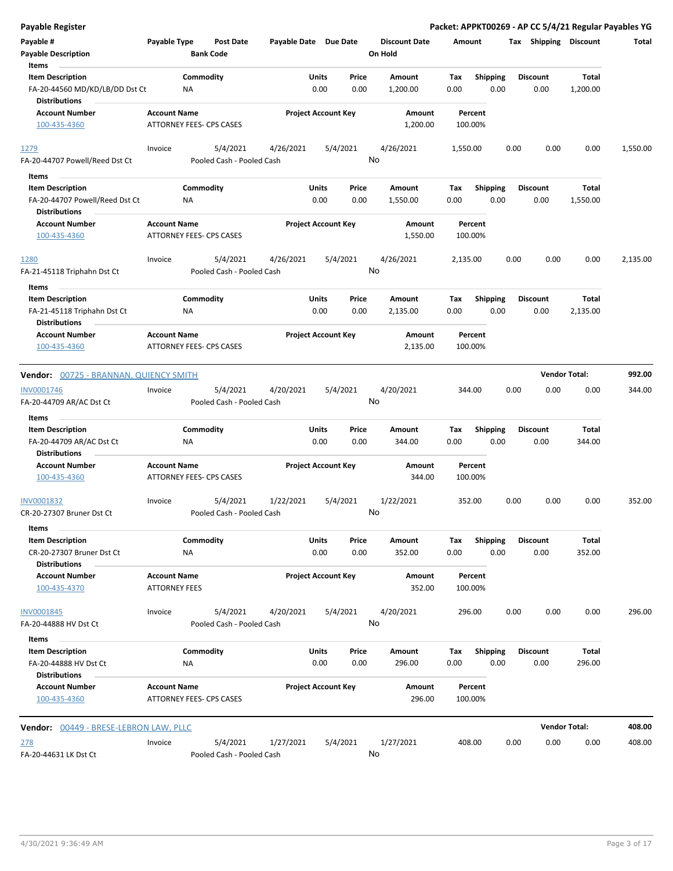| <b>Payable Register</b>                                |                                             |                                       |                            |       |                |                                 |                    |                         |      |                       | Packet: APPKT00269 - AP CC 5/4/21 Regular Payables YG |          |
|--------------------------------------------------------|---------------------------------------------|---------------------------------------|----------------------------|-------|----------------|---------------------------------|--------------------|-------------------------|------|-----------------------|-------------------------------------------------------|----------|
| Payable #<br><b>Payable Description</b>                | Payable Type                                | <b>Post Date</b><br><b>Bank Code</b>  | Payable Date Due Date      |       |                | <b>Discount Date</b><br>On Hold | Amount             |                         |      | Tax Shipping Discount |                                                       | Total    |
| Items<br><b>Item Description</b>                       |                                             | Commodity                             |                            | Units | Price          | Amount                          | Tax                | <b>Shipping</b>         |      | <b>Discount</b>       | Total                                                 |          |
| FA-20-44560 MD/KD/LB/DD Dst Ct<br><b>Distributions</b> |                                             | ΝA                                    |                            | 0.00  | 0.00           | 1,200.00                        | 0.00               | 0.00                    |      | 0.00                  | 1,200.00                                              |          |
| <b>Account Number</b>                                  | <b>Account Name</b>                         |                                       | <b>Project Account Key</b> |       |                | Amount                          | Percent            |                         |      |                       |                                                       |          |
| 100-435-4360                                           |                                             | ATTORNEY FEES- CPS CASES              |                            |       |                | 1,200.00                        | 100.00%            |                         |      |                       |                                                       |          |
| 1279                                                   | Invoice                                     | 5/4/2021                              | 4/26/2021                  |       | 5/4/2021       | 4/26/2021                       | 1,550.00           |                         | 0.00 | 0.00                  | 0.00                                                  | 1,550.00 |
| FA-20-44707 Powell/Reed Dst Ct                         |                                             | Pooled Cash - Pooled Cash             |                            |       | No             |                                 |                    |                         |      |                       |                                                       |          |
| Items                                                  |                                             |                                       |                            |       |                |                                 |                    |                         |      |                       |                                                       |          |
| <b>Item Description</b>                                |                                             | Commodity                             |                            | Units | Price          | Amount                          | Тах                | Shipping                |      | <b>Discount</b>       | Total                                                 |          |
| FA-20-44707 Powell/Reed Dst Ct<br><b>Distributions</b> |                                             | <b>NA</b>                             |                            | 0.00  | 0.00           | 1,550.00                        | 0.00               | 0.00                    |      | 0.00                  | 1,550.00                                              |          |
| <b>Account Number</b><br>100-435-4360                  | <b>Account Name</b>                         | <b>ATTORNEY FEES- CPS CASES</b>       | <b>Project Account Key</b> |       |                | Amount<br>1,550.00              | Percent<br>100.00% |                         |      |                       |                                                       |          |
| 1280                                                   | Invoice                                     | 5/4/2021                              | 4/26/2021                  |       | 5/4/2021       | 4/26/2021                       | 2,135.00           |                         | 0.00 | 0.00                  | 0.00                                                  | 2,135.00 |
| FA-21-45118 Triphahn Dst Ct                            |                                             | Pooled Cash - Pooled Cash             |                            |       | No             |                                 |                    |                         |      |                       |                                                       |          |
| Items                                                  |                                             |                                       |                            |       |                |                                 |                    |                         |      |                       |                                                       |          |
| <b>Item Description</b>                                |                                             | Commodity                             |                            | Units | Price          | Amount                          | Tax                | <b>Shipping</b>         |      | <b>Discount</b>       | Total                                                 |          |
| FA-21-45118 Triphahn Dst Ct<br><b>Distributions</b>    |                                             | ΝA                                    |                            | 0.00  | 0.00           | 2,135.00                        | 0.00               | 0.00                    |      | 0.00                  | 2,135.00                                              |          |
| <b>Account Number</b><br>100-435-4360                  | <b>Account Name</b>                         | ATTORNEY FEES- CPS CASES              | <b>Project Account Key</b> |       |                | Amount<br>2,135.00              | Percent<br>100.00% |                         |      |                       |                                                       |          |
| Vendor: 00725 - BRANNAN, QUIENCY SMITH                 |                                             |                                       |                            |       |                |                                 |                    |                         |      | <b>Vendor Total:</b>  |                                                       | 992.00   |
|                                                        |                                             |                                       |                            |       |                |                                 |                    |                         |      |                       |                                                       |          |
| INV0001746<br>FA-20-44709 AR/AC Dst Ct                 | Invoice                                     | 5/4/2021<br>Pooled Cash - Pooled Cash | 4/20/2021                  |       | 5/4/2021<br>No | 4/20/2021                       | 344.00             |                         | 0.00 | 0.00                  | 0.00                                                  | 344.00   |
|                                                        |                                             |                                       |                            |       |                |                                 |                    |                         |      |                       |                                                       |          |
| Items                                                  |                                             |                                       |                            |       |                |                                 |                    |                         |      |                       |                                                       |          |
| <b>Item Description</b>                                |                                             | Commodity                             |                            | Units | Price          | Amount                          | Tax                | <b>Shipping</b>         |      | <b>Discount</b>       | Total                                                 |          |
| FA-20-44709 AR/AC Dst Ct                               |                                             | ΝA                                    |                            | 0.00  | 0.00           | 344.00                          | 0.00               | 0.00                    |      | 0.00                  | 344.00                                                |          |
| <b>Distributions</b>                                   |                                             |                                       |                            |       |                |                                 |                    |                         |      |                       |                                                       |          |
| <b>Account Number</b><br>100-435-4360                  | <b>Account Name</b>                         | <b>ATTORNEY FEES- CPS CASES</b>       | <b>Project Account Key</b> |       |                | Amount<br>344.00                | Percent<br>100.00% |                         |      |                       |                                                       |          |
| INV0001832<br>CR-20-27307 Bruner Dst Ct                | Invoice                                     | 5/4/2021<br>Pooled Cash - Pooled Cash | 1/22/2021                  |       | 5/4/2021<br>No | 1/22/2021                       | 352.00             |                         | 0.00 | 0.00                  | 0.00                                                  | 352.00   |
| Items                                                  |                                             |                                       |                            |       |                |                                 |                    |                         |      |                       |                                                       |          |
| <b>Item Description</b>                                |                                             | Commodity                             |                            | Units | Price          | Amount                          | Tax                | <b>Shipping</b>         |      | <b>Discount</b>       | Total                                                 |          |
| CR-20-27307 Bruner Dst Ct                              |                                             | NA                                    |                            | 0.00  | 0.00           | 352.00                          | 0.00               | 0.00                    |      | 0.00                  | 352.00                                                |          |
| <b>Distributions</b>                                   |                                             |                                       |                            |       |                |                                 |                    |                         |      |                       |                                                       |          |
| <b>Account Number</b><br>100-435-4370                  | <b>Account Name</b><br><b>ATTORNEY FEES</b> |                                       | <b>Project Account Key</b> |       |                | Amount<br>352.00                | Percent<br>100.00% |                         |      |                       |                                                       |          |
| INV0001845                                             | Invoice                                     | 5/4/2021                              | 4/20/2021                  |       | 5/4/2021       | 4/20/2021                       | 296.00             |                         | 0.00 | 0.00                  | 0.00                                                  | 296.00   |
| FA-20-44888 HV Dst Ct                                  |                                             | Pooled Cash - Pooled Cash             |                            |       | No             |                                 |                    |                         |      |                       |                                                       |          |
| Items<br><b>Item Description</b>                       |                                             | Commodity                             |                            | Units | Price          | Amount                          |                    |                         |      | <b>Discount</b>       | Total                                                 |          |
| FA-20-44888 HV Dst Ct<br><b>Distributions</b>          |                                             | NA                                    |                            | 0.00  | 0.00           | 296.00                          | Tax<br>0.00        | <b>Shipping</b><br>0.00 |      | 0.00                  | 296.00                                                |          |
| <b>Account Number</b><br>100-435-4360                  | <b>Account Name</b>                         | ATTORNEY FEES- CPS CASES              | <b>Project Account Key</b> |       |                | Amount<br>296.00                | Percent<br>100.00% |                         |      |                       |                                                       |          |
| Vendor: 00449 - BRESE-LEBRON LAW, PLLC                 |                                             |                                       |                            |       |                |                                 |                    |                         |      | <b>Vendor Total:</b>  |                                                       | 408.00   |
| 278                                                    | Invoice                                     | 5/4/2021                              | 1/27/2021                  |       | 5/4/2021       | 1/27/2021                       | 408.00             |                         | 0.00 | 0.00                  | 0.00                                                  | 408.00   |
| FA-20-44631 LK Dst Ct                                  |                                             | Pooled Cash - Pooled Cash             |                            |       | No             |                                 |                    |                         |      |                       |                                                       |          |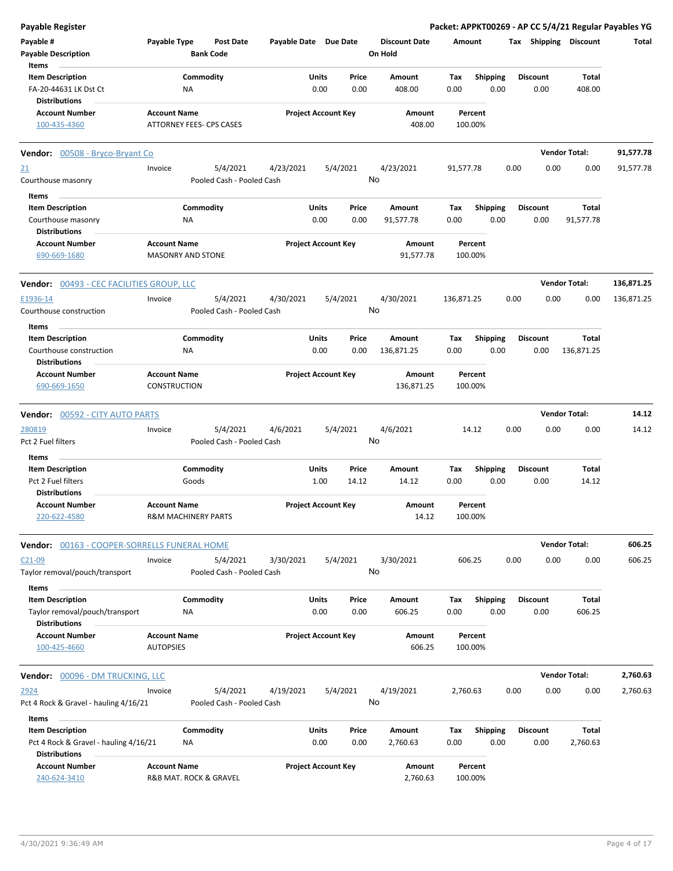| Payable Register                                 |                                               |                  |                           |                       |               |                            |                                 |             |                         |      |                         |                       | Packet: APPKT00269 - AP CC 5/4/21 Regular Payables YG |
|--------------------------------------------------|-----------------------------------------------|------------------|---------------------------|-----------------------|---------------|----------------------------|---------------------------------|-------------|-------------------------|------|-------------------------|-----------------------|-------------------------------------------------------|
| Payable #<br><b>Payable Description</b>          | Payable Type                                  | <b>Bank Code</b> | <b>Post Date</b>          | Payable Date Due Date |               |                            | <b>Discount Date</b><br>On Hold | Amount      |                         |      |                         | Tax Shipping Discount | Total                                                 |
| Items                                            |                                               |                  |                           |                       |               |                            |                                 |             |                         |      |                         |                       |                                                       |
| <b>Item Description</b><br>FA-20-44631 LK Dst Ct |                                               | Commodity<br>NA  |                           |                       | Units<br>0.00 | Price<br>0.00              | Amount<br>408.00                | Tax<br>0.00 | <b>Shipping</b><br>0.00 |      | <b>Discount</b><br>0.00 | Total<br>408.00       |                                                       |
| <b>Distributions</b>                             |                                               |                  |                           |                       |               |                            |                                 |             |                         |      |                         |                       |                                                       |
| <b>Account Number</b>                            | <b>Account Name</b>                           |                  |                           |                       |               | <b>Project Account Key</b> | Amount                          |             | Percent                 |      |                         |                       |                                                       |
| 100-435-4360                                     | ATTORNEY FEES- CPS CASES                      |                  |                           |                       |               |                            | 408.00                          |             | 100.00%                 |      |                         |                       |                                                       |
| <b>Vendor:</b> 00508 - Bryco-Bryant Co           |                                               |                  |                           |                       |               |                            |                                 |             |                         |      |                         | <b>Vendor Total:</b>  | 91,577.78                                             |
| <u>21</u>                                        | Invoice                                       |                  | 5/4/2021                  | 4/23/2021             |               | 5/4/2021                   | 4/23/2021                       | 91,577.78   |                         | 0.00 | 0.00                    | 0.00                  | 91,577.78                                             |
| Courthouse masonry                               |                                               |                  | Pooled Cash - Pooled Cash |                       |               |                            | No                              |             |                         |      |                         |                       |                                                       |
| Items                                            |                                               |                  |                           |                       |               |                            |                                 |             |                         |      |                         |                       |                                                       |
| <b>Item Description</b>                          |                                               | Commodity        |                           |                       | Units         | Price                      | Amount                          | Тах         | <b>Shipping</b>         |      | <b>Discount</b>         | Total                 |                                                       |
| Courthouse masonry                               |                                               | <b>NA</b>        |                           |                       | 0.00          | 0.00                       | 91,577.78                       | 0.00        | 0.00                    |      | 0.00                    | 91,577.78             |                                                       |
| <b>Distributions</b>                             |                                               |                  |                           |                       |               |                            |                                 |             |                         |      |                         |                       |                                                       |
| <b>Account Number</b>                            | <b>Account Name</b>                           |                  |                           |                       |               | <b>Project Account Key</b> | Amount                          |             | Percent                 |      |                         |                       |                                                       |
| 690-669-1680                                     | MASONRY AND STONE                             |                  |                           |                       |               |                            | 91,577.78                       |             | 100.00%                 |      |                         |                       |                                                       |
| <b>Vendor: 00493 - CEC FACILITIES GROUP, LLC</b> |                                               |                  |                           |                       |               |                            |                                 |             |                         |      |                         | <b>Vendor Total:</b>  | 136,871.25                                            |
| E1936-14                                         | Invoice                                       |                  | 5/4/2021                  | 4/30/2021             |               | 5/4/2021                   | 4/30/2021                       | 136,871.25  |                         | 0.00 | 0.00                    | 0.00                  | 136,871.25                                            |
| Courthouse construction                          |                                               |                  | Pooled Cash - Pooled Cash |                       |               |                            | No                              |             |                         |      |                         |                       |                                                       |
| Items                                            |                                               |                  |                           |                       |               |                            |                                 |             |                         |      |                         |                       |                                                       |
| <b>Item Description</b>                          |                                               | Commodity        |                           |                       | Units         | Price                      | Amount                          | Тах         | <b>Shipping</b>         |      | <b>Discount</b>         | Total                 |                                                       |
| Courthouse construction                          |                                               | ΝA               |                           |                       | 0.00          | 0.00                       | 136,871.25                      | 0.00        | 0.00                    |      | 0.00                    | 136,871.25            |                                                       |
| <b>Distributions</b>                             |                                               |                  |                           |                       |               |                            |                                 |             |                         |      |                         |                       |                                                       |
| <b>Account Number</b>                            | <b>Account Name</b>                           |                  |                           |                       |               | <b>Project Account Key</b> | Amount                          |             | Percent                 |      |                         |                       |                                                       |
| 690-669-1650                                     | <b>CONSTRUCTION</b>                           |                  |                           |                       |               |                            | 136,871.25                      |             | 100.00%                 |      |                         |                       |                                                       |
| <b>Vendor: 00592 - CITY AUTO PARTS</b>           |                                               |                  |                           |                       |               |                            |                                 |             |                         |      |                         | <b>Vendor Total:</b>  | 14.12                                                 |
| 280819                                           | Invoice                                       |                  | 5/4/2021                  | 4/6/2021              |               | 5/4/2021                   | 4/6/2021                        |             | 14.12                   | 0.00 | 0.00                    | 0.00                  | 14.12                                                 |
| Pct 2 Fuel filters                               |                                               |                  | Pooled Cash - Pooled Cash |                       |               |                            | No                              |             |                         |      |                         |                       |                                                       |
| Items                                            |                                               |                  |                           |                       |               |                            |                                 |             |                         |      |                         |                       |                                                       |
| <b>Item Description</b>                          |                                               | Commodity        |                           |                       | Units         | Price                      | Amount                          | Tax         | <b>Shipping</b>         |      | <b>Discount</b>         | Total                 |                                                       |
| Pct 2 Fuel filters                               |                                               | Goods            |                           |                       | 1.00          | 14.12                      | 14.12                           | 0.00        | 0.00                    |      | 0.00                    | 14.12                 |                                                       |
| Distributions                                    |                                               |                  |                           |                       |               |                            |                                 |             |                         |      |                         |                       |                                                       |
| <b>Account Number</b><br>220-622-4580            | <b>Account Name</b><br>R&M MACHINERY PARTS    |                  |                           |                       |               | <b>Project Account Key</b> | Amount<br>14.12                 |             | Percent<br>100.00%      |      |                         |                       |                                                       |
|                                                  |                                               |                  |                           |                       |               |                            |                                 |             |                         |      |                         |                       |                                                       |
| Vendor: 00163 - COOPER-SORRELLS FUNERAL HOME     |                                               |                  |                           |                       |               |                            |                                 |             |                         |      |                         | <b>Vendor Total:</b>  | 606.25                                                |
| $C21-09$                                         | Invoice                                       |                  | 5/4/2021                  | 3/30/2021             |               | 5/4/2021                   | 3/30/2021                       |             | 606.25                  | 0.00 | 0.00                    | 0.00                  | 606.25                                                |
| Taylor removal/pouch/transport<br>Items          |                                               |                  | Pooled Cash - Pooled Cash |                       |               |                            | No                              |             |                         |      |                         |                       |                                                       |
| <b>Item Description</b>                          |                                               | Commodity        |                           |                       | <b>Units</b>  | Price                      | Amount                          | Tax         | <b>Shipping</b>         |      | <b>Discount</b>         | Total                 |                                                       |
| Taylor removal/pouch/transport                   |                                               | ΝA               |                           |                       | 0.00          | 0.00                       | 606.25                          | 0.00        | 0.00                    |      | 0.00                    | 606.25                |                                                       |
| <b>Distributions</b>                             |                                               |                  |                           |                       |               |                            |                                 |             |                         |      |                         |                       |                                                       |
| <b>Account Number</b>                            | <b>Account Name</b>                           |                  |                           |                       |               | <b>Project Account Key</b> | Amount                          |             | Percent                 |      |                         |                       |                                                       |
| 100-425-4660                                     | <b>AUTOPSIES</b>                              |                  |                           |                       |               |                            | 606.25                          |             | 100.00%                 |      |                         |                       |                                                       |
| <b>Vendor: 00096 - DM TRUCKING, LLC</b>          |                                               |                  |                           |                       |               |                            |                                 |             |                         |      |                         | <b>Vendor Total:</b>  | 2,760.63                                              |
| 2924                                             | Invoice                                       |                  | 5/4/2021                  | 4/19/2021             |               | 5/4/2021                   | 4/19/2021                       | 2,760.63    |                         | 0.00 | 0.00                    | 0.00                  | 2,760.63                                              |
| Pct 4 Rock & Gravel - hauling 4/16/21            |                                               |                  | Pooled Cash - Pooled Cash |                       |               |                            | No                              |             |                         |      |                         |                       |                                                       |
| Items                                            |                                               |                  |                           |                       |               |                            |                                 |             |                         |      |                         |                       |                                                       |
| <b>Item Description</b>                          |                                               | Commodity        |                           |                       | <b>Units</b>  | Price                      | Amount                          | Tax         | <b>Shipping</b>         |      | <b>Discount</b>         | Total                 |                                                       |
| Pct 4 Rock & Gravel - hauling 4/16/21            |                                               | <b>NA</b>        |                           |                       | 0.00          | 0.00                       | 2,760.63                        | 0.00        | 0.00                    |      | 0.00                    | 2,760.63              |                                                       |
| <b>Distributions</b>                             |                                               |                  |                           |                       |               |                            |                                 |             |                         |      |                         |                       |                                                       |
| <b>Account Number</b><br>240-624-3410            | <b>Account Name</b><br>R&B MAT. ROCK & GRAVEL |                  |                           |                       |               | <b>Project Account Key</b> | Amount<br>2,760.63              |             | Percent<br>100.00%      |      |                         |                       |                                                       |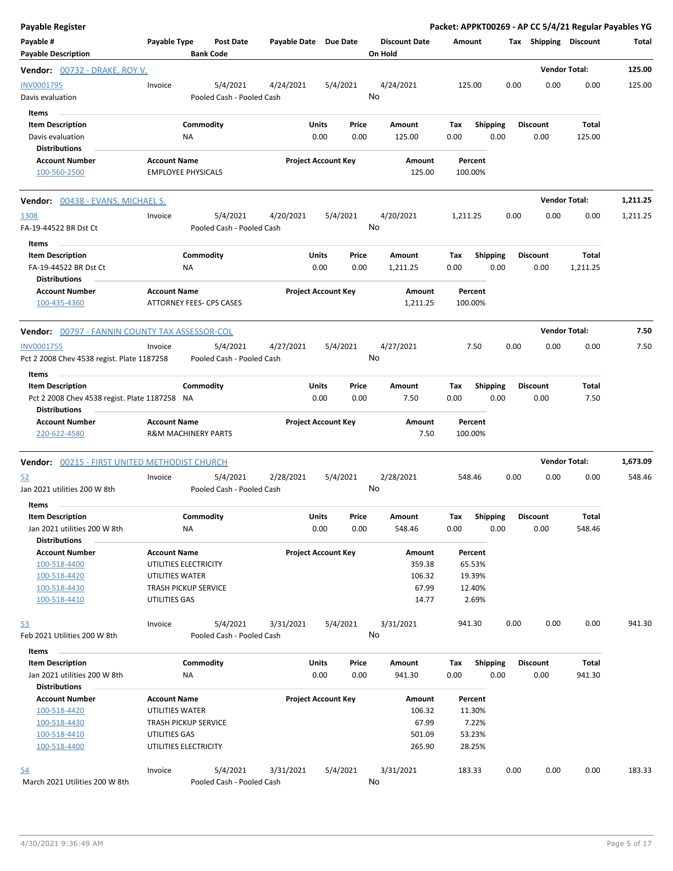| <b>Payable Register</b>                                               |                     |                                       |                       |                            |       |                                 |                    |                 |      |                       | Packet: APPKT00269 - AP CC 5/4/21 Regular Payables YG |          |
|-----------------------------------------------------------------------|---------------------|---------------------------------------|-----------------------|----------------------------|-------|---------------------------------|--------------------|-----------------|------|-----------------------|-------------------------------------------------------|----------|
| Payable #<br><b>Payable Description</b>                               | Payable Type        | <b>Post Date</b><br><b>Bank Code</b>  | Payable Date Due Date |                            |       | <b>Discount Date</b><br>On Hold | Amount             |                 |      | Tax Shipping Discount |                                                       | Total    |
| <b>Vendor:</b> 00732 - DRAKE, ROY V.                                  |                     |                                       |                       |                            |       |                                 |                    |                 |      |                       | <b>Vendor Total:</b>                                  | 125.00   |
| INV0001795<br>Davis evaluation<br>Items                               | Invoice             | 5/4/2021<br>Pooled Cash - Pooled Cash | 4/24/2021             | 5/4/2021                   |       | 4/24/2021<br>No                 | 125.00             |                 | 0.00 | 0.00                  | 0.00                                                  | 125.00   |
| <b>Item Description</b>                                               |                     | Commodity                             |                       | Units                      | Price | Amount                          | Tax                | Shipping        |      | <b>Discount</b>       | Total                                                 |          |
| Davis evaluation                                                      |                     | ΝA                                    |                       | 0.00                       | 0.00  | 125.00                          | 0.00               | 0.00            |      | 0.00                  | 125.00                                                |          |
| <b>Distributions</b>                                                  |                     |                                       |                       |                            |       |                                 |                    |                 |      |                       |                                                       |          |
| <b>Account Number</b>                                                 | <b>Account Name</b> |                                       |                       | <b>Project Account Key</b> |       | Amount                          | Percent            |                 |      |                       |                                                       |          |
| 100-560-2500                                                          |                     | <b>EMPLOYEE PHYSICALS</b>             |                       |                            |       | 125.00                          | 100.00%            |                 |      |                       |                                                       |          |
| <b>Vendor:</b> 00438 - EVANS, MICHAEL S.                              |                     |                                       |                       |                            |       |                                 |                    |                 |      |                       | <b>Vendor Total:</b>                                  | 1,211.25 |
| 1308                                                                  | Invoice             | 5/4/2021                              | 4/20/2021             | 5/4/2021                   |       | 4/20/2021                       | 1,211.25           |                 | 0.00 | 0.00                  | 0.00                                                  | 1,211.25 |
| FA-19-44522 BR Dst Ct                                                 |                     | Pooled Cash - Pooled Cash             |                       |                            |       | No                              |                    |                 |      |                       |                                                       |          |
| Items                                                                 |                     |                                       |                       |                            |       |                                 |                    |                 |      |                       |                                                       |          |
| <b>Item Description</b>                                               |                     | Commodity                             |                       | Units                      | Price | Amount                          | Tax                | <b>Shipping</b> |      | <b>Discount</b>       | Total                                                 |          |
| FA-19-44522 BR Dst Ct<br><b>Distributions</b>                         |                     | ΝA                                    |                       | 0.00                       | 0.00  | 1,211.25                        | 0.00               | 0.00            |      | 0.00                  | 1,211.25                                              |          |
| <b>Account Number</b><br>100-435-4360                                 | <b>Account Name</b> | ATTORNEY FEES- CPS CASES              |                       | <b>Project Account Key</b> |       | Amount<br>1,211.25              | Percent<br>100.00% |                 |      |                       |                                                       |          |
| <b>Vendor: 00797 - FANNIN COUNTY TAX ASSESSOR-COL</b>                 |                     |                                       |                       |                            |       |                                 |                    |                 |      |                       | <b>Vendor Total:</b>                                  | 7.50     |
| INV0001755                                                            | Invoice             | 5/4/2021                              | 4/27/2021             | 5/4/2021                   |       | 4/27/2021                       | 7.50               |                 | 0.00 | 0.00                  | 0.00                                                  | 7.50     |
| Pct 2 2008 Chev 4538 regist. Plate 1187258                            |                     | Pooled Cash - Pooled Cash             |                       |                            |       | No                              |                    |                 |      |                       |                                                       |          |
| Items                                                                 |                     |                                       |                       |                            |       |                                 |                    |                 |      |                       |                                                       |          |
| <b>Item Description</b>                                               |                     | Commodity                             |                       | Units                      | Price | Amount                          | Tax                | <b>Shipping</b> |      | <b>Discount</b>       | Total                                                 |          |
| Pct 2 2008 Chev 4538 regist. Plate 1187258 NA<br><b>Distributions</b> |                     |                                       |                       | 0.00                       | 0.00  | 7.50                            | 0.00               | 0.00            |      | 0.00                  | 7.50                                                  |          |
| <b>Account Number</b><br>220-622-4580                                 | <b>Account Name</b> | <b>R&amp;M MACHINERY PARTS</b>        |                       | <b>Project Account Key</b> |       | Amount<br>7.50                  | Percent<br>100.00% |                 |      |                       |                                                       |          |
| <b>Vendor: 00215 - FIRST UNITED METHODIST CHURCH</b>                  |                     |                                       |                       |                            |       |                                 |                    |                 |      |                       | <b>Vendor Total:</b>                                  | 1,673.09 |
| 52                                                                    | Invoice             | 5/4/2021                              | 2/28/2021             | 5/4/2021                   |       | 2/28/2021                       | 548.46             |                 | 0.00 | 0.00                  | 0.00                                                  | 548.46   |
| Jan 2021 utilities 200 W 8th                                          |                     | Pooled Cash - Pooled Cash             |                       |                            |       | No                              |                    |                 |      |                       |                                                       |          |
| Items                                                                 |                     |                                       |                       |                            |       |                                 |                    |                 |      |                       |                                                       |          |
| <b>Item Description</b>                                               |                     | Commodity                             |                       | Units                      | Price | Amount                          | Тах                | Shipping        |      | Discount              | Total                                                 |          |
| Jan 2021 utilities 200 W 8th                                          |                     | NA                                    |                       | 0.00                       | 0.00  | 548.46                          | 0.00               | 0.00            |      | 0.00                  | 548.46                                                |          |
| <b>Distributions</b>                                                  |                     |                                       |                       |                            |       |                                 |                    |                 |      |                       |                                                       |          |
| <b>Account Number</b>                                                 | <b>Account Name</b> |                                       |                       | <b>Project Account Key</b> |       | Amount                          | Percent            |                 |      |                       |                                                       |          |
| 100-518-4400                                                          |                     | UTILITIES ELECTRICITY                 |                       |                            |       | 359.38                          | 65.53%             |                 |      |                       |                                                       |          |
| 100-518-4420                                                          | UTILITIES WATER     |                                       |                       |                            |       | 106.32                          | 19.39%             |                 |      |                       |                                                       |          |
| 100-518-4430                                                          |                     | TRASH PICKUP SERVICE                  |                       |                            |       | 67.99                           | 12.40%             |                 |      |                       |                                                       |          |
| 100-518-4410                                                          | UTILITIES GAS       |                                       |                       |                            |       | 14.77                           | 2.69%              |                 |      |                       |                                                       |          |
| <u>53</u>                                                             | Invoice             | 5/4/2021                              | 3/31/2021             | 5/4/2021                   |       | 3/31/2021                       | 941.30             |                 | 0.00 | 0.00                  | 0.00                                                  | 941.30   |
| Feb 2021 Utilities 200 W 8th                                          |                     | Pooled Cash - Pooled Cash             |                       |                            |       | No                              |                    |                 |      |                       |                                                       |          |
| Items                                                                 |                     |                                       |                       |                            |       |                                 |                    |                 |      |                       |                                                       |          |
| <b>Item Description</b>                                               |                     | Commodity                             |                       | Units                      | Price | Amount                          | Tax                | <b>Shipping</b> |      | <b>Discount</b>       | Total                                                 |          |
| Jan 2021 utilities 200 W 8th<br><b>Distributions</b>                  |                     | ΝA                                    |                       | 0.00                       | 0.00  | 941.30                          | 0.00               | 0.00            |      | 0.00                  | 941.30                                                |          |
| <b>Account Number</b>                                                 | <b>Account Name</b> |                                       |                       | <b>Project Account Key</b> |       | Amount                          | Percent            |                 |      |                       |                                                       |          |
| 100-518-4420                                                          | UTILITIES WATER     |                                       |                       |                            |       | 106.32                          | 11.30%             |                 |      |                       |                                                       |          |
| 100-518-4430                                                          |                     | <b>TRASH PICKUP SERVICE</b>           |                       |                            |       | 67.99                           | 7.22%              |                 |      |                       |                                                       |          |
| 100-518-4410                                                          | UTILITIES GAS       |                                       |                       |                            |       | 501.09                          | 53.23%             |                 |      |                       |                                                       |          |
| 100-518-4400                                                          |                     | UTILITIES ELECTRICITY                 |                       |                            |       | 265.90                          | 28.25%             |                 |      |                       |                                                       |          |
| <u>54</u>                                                             | Invoice             | 5/4/2021                              | 3/31/2021             | 5/4/2021                   |       | 3/31/2021                       | 183.33             |                 | 0.00 | 0.00                  | 0.00                                                  | 183.33   |
| March 2021 Utilities 200 W 8th                                        |                     | Pooled Cash - Pooled Cash             |                       |                            |       | No                              |                    |                 |      |                       |                                                       |          |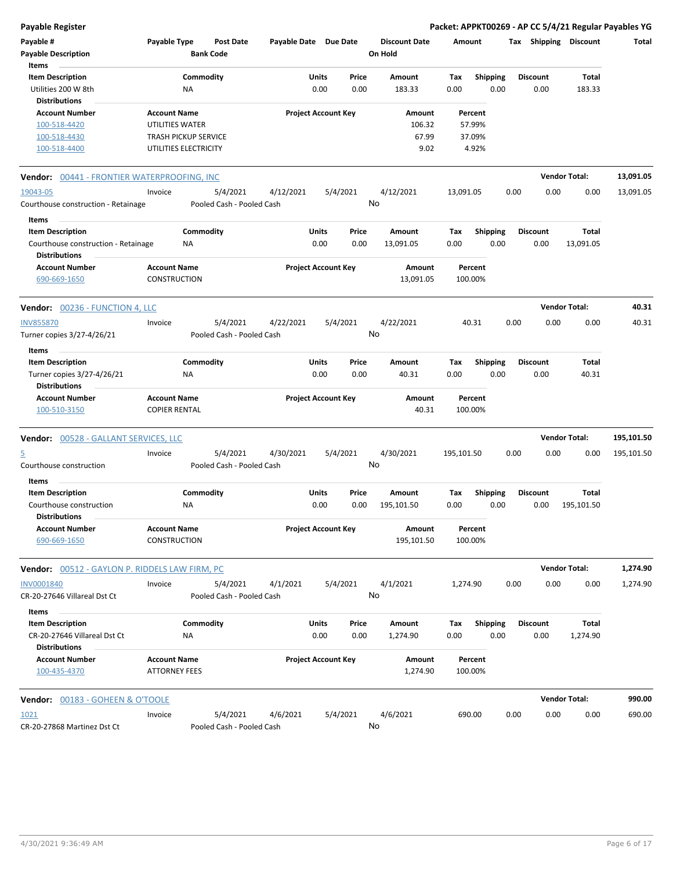| <b>Payable Register</b>                                                                         |                                                                       |                        |                                       |                       |                            |               |                                   |                                      |                         |      |                         |                       | Packet: APPKT00269 - AP CC 5/4/21 Regular Payables YG |
|-------------------------------------------------------------------------------------------------|-----------------------------------------------------------------------|------------------------|---------------------------------------|-----------------------|----------------------------|---------------|-----------------------------------|--------------------------------------|-------------------------|------|-------------------------|-----------------------|-------------------------------------------------------|
| Payable #<br><b>Payable Description</b>                                                         | Payable Type                                                          |                        | <b>Post Date</b><br><b>Bank Code</b>  | Payable Date Due Date |                            |               | <b>Discount Date</b><br>On Hold   | Amount                               |                         |      |                         | Tax Shipping Discount | Total                                                 |
| Items<br><b>Item Description</b><br>Utilities 200 W 8th<br><b>Distributions</b>                 |                                                                       | Commodity<br>NA        |                                       |                       | Units<br>0.00              | Price<br>0.00 | Amount<br>183.33                  | Tax<br>0.00                          | <b>Shipping</b><br>0.00 |      | <b>Discount</b><br>0.00 | Total<br>183.33       |                                                       |
| <b>Account Number</b><br>100-518-4420<br>100-518-4430<br>100-518-4400                           | <b>Account Name</b><br>UTILITIES WATER<br><b>TRASH PICKUP SERVICE</b> | UTILITIES ELECTRICITY  |                                       |                       | <b>Project Account Key</b> |               | Amount<br>106.32<br>67.99<br>9.02 | Percent<br>57.99%<br>37.09%<br>4.92% |                         |      |                         |                       |                                                       |
| <b>Vendor: 00441 - FRONTIER WATERPROOFING, INC</b>                                              |                                                                       |                        |                                       |                       |                            |               |                                   |                                      |                         |      |                         | <b>Vendor Total:</b>  | 13,091.05                                             |
| 19043-05<br>Courthouse construction - Retainage                                                 | Invoice                                                               |                        | 5/4/2021<br>Pooled Cash - Pooled Cash | 4/12/2021             |                            | 5/4/2021      | 4/12/2021<br>No                   | 13,091.05                            |                         | 0.00 | 0.00                    | 0.00                  | 13,091.05                                             |
| Items<br><b>Item Description</b><br>Courthouse construction - Retainage<br><b>Distributions</b> |                                                                       | Commodity<br><b>NA</b> |                                       |                       | Units<br>0.00              | Price<br>0.00 | Amount<br>13,091.05               | Tax<br>0.00                          | <b>Shipping</b><br>0.00 |      | <b>Discount</b><br>0.00 | Total<br>13,091.05    |                                                       |
| <b>Account Number</b><br>690-669-1650                                                           | <b>Account Name</b><br><b>CONSTRUCTION</b>                            |                        |                                       |                       | <b>Project Account Key</b> |               | Amount<br>13,091.05               | Percent<br>100.00%                   |                         |      |                         |                       |                                                       |
| Vendor: 00236 - FUNCTION 4, LLC                                                                 |                                                                       |                        |                                       |                       |                            |               |                                   |                                      |                         |      |                         | <b>Vendor Total:</b>  | 40.31                                                 |
| <b>INV855870</b><br>Turner copies 3/27-4/26/21                                                  | Invoice                                                               |                        | 5/4/2021<br>Pooled Cash - Pooled Cash | 4/22/2021             |                            | 5/4/2021      | 4/22/2021<br>No                   | 40.31                                |                         | 0.00 | 0.00                    | 0.00                  | 40.31                                                 |
| Items<br><b>Item Description</b><br>Turner copies 3/27-4/26/21<br><b>Distributions</b>          |                                                                       | Commodity<br>ΝA        |                                       |                       | Units<br>0.00              | Price<br>0.00 | Amount<br>40.31                   | Tax<br>0.00                          | <b>Shipping</b><br>0.00 |      | <b>Discount</b><br>0.00 | Total<br>40.31        |                                                       |
| <b>Account Number</b><br>100-510-3150                                                           | <b>Account Name</b><br><b>COPIER RENTAL</b>                           |                        |                                       |                       | <b>Project Account Key</b> |               | Amount<br>40.31                   | Percent<br>100.00%                   |                         |      |                         |                       |                                                       |
| <b>Vendor: 00528 - GALLANT SERVICES, LLC</b>                                                    |                                                                       |                        |                                       |                       |                            |               |                                   |                                      |                         |      |                         | <b>Vendor Total:</b>  | 195,101.50                                            |
| 5<br>Courthouse construction                                                                    | Invoice                                                               |                        | 5/4/2021<br>Pooled Cash - Pooled Cash | 4/30/2021             |                            | 5/4/2021      | 4/30/2021<br>No                   | 195,101.50                           |                         | 0.00 | 0.00                    | 0.00                  | 195,101.50                                            |
| Items<br><b>Item Description</b><br>Courthouse construction<br><b>Distributions</b>             |                                                                       | Commodity<br>ΝA        |                                       |                       | Units<br>0.00              | Price<br>0.00 | Amount<br>195,101.50              | Tax<br>0.00                          | <b>Shipping</b><br>0.00 |      | <b>Discount</b><br>0.00 | Total<br>195,101.50   |                                                       |
| <b>Account Number</b><br>690-669-1650                                                           | <b>Account Name</b><br><b>CONSTRUCTION</b>                            |                        |                                       |                       | <b>Project Account Key</b> |               | Amount<br>195,101.50              | Percent<br>100.00%                   |                         |      |                         |                       |                                                       |
| Vendor: 00512 - GAYLON P. RIDDELS LAW FIRM, PC                                                  |                                                                       |                        |                                       |                       |                            |               |                                   |                                      |                         |      |                         | <b>Vendor Total:</b>  | 1,274.90                                              |
| <b>INV0001840</b><br>CR-20-27646 Villareal Dst Ct                                               | Invoice                                                               |                        | 5/4/2021<br>Pooled Cash - Pooled Cash | 4/1/2021              |                            | 5/4/2021      | 4/1/2021<br>No                    | 1,274.90                             |                         | 0.00 | 0.00                    | 0.00                  | 1,274.90                                              |
| Items<br><b>Item Description</b><br>CR-20-27646 Villareal Dst Ct<br><b>Distributions</b>        |                                                                       | Commodity<br>ΝA        |                                       |                       | Units<br>0.00              | Price<br>0.00 | Amount<br>1,274.90                | Tax<br>0.00                          | <b>Shipping</b><br>0.00 |      | <b>Discount</b><br>0.00 | Total<br>1,274.90     |                                                       |
| <b>Account Number</b><br>100-435-4370                                                           | <b>Account Name</b><br><b>ATTORNEY FEES</b>                           |                        |                                       |                       | <b>Project Account Key</b> |               | Amount<br>1,274.90                | Percent<br>100.00%                   |                         |      |                         |                       |                                                       |
| <b>Vendor: 00183 - GOHEEN &amp; O'TOOLE</b>                                                     |                                                                       |                        |                                       |                       |                            |               |                                   |                                      |                         |      |                         | <b>Vendor Total:</b>  | 990.00                                                |
| 1021<br>CR-20-27868 Martinez Dst Ct                                                             | Invoice                                                               |                        | 5/4/2021<br>Pooled Cash - Pooled Cash | 4/6/2021              |                            | 5/4/2021      | 4/6/2021<br>No                    | 690.00                               |                         | 0.00 | 0.00                    | 0.00                  | 690.00                                                |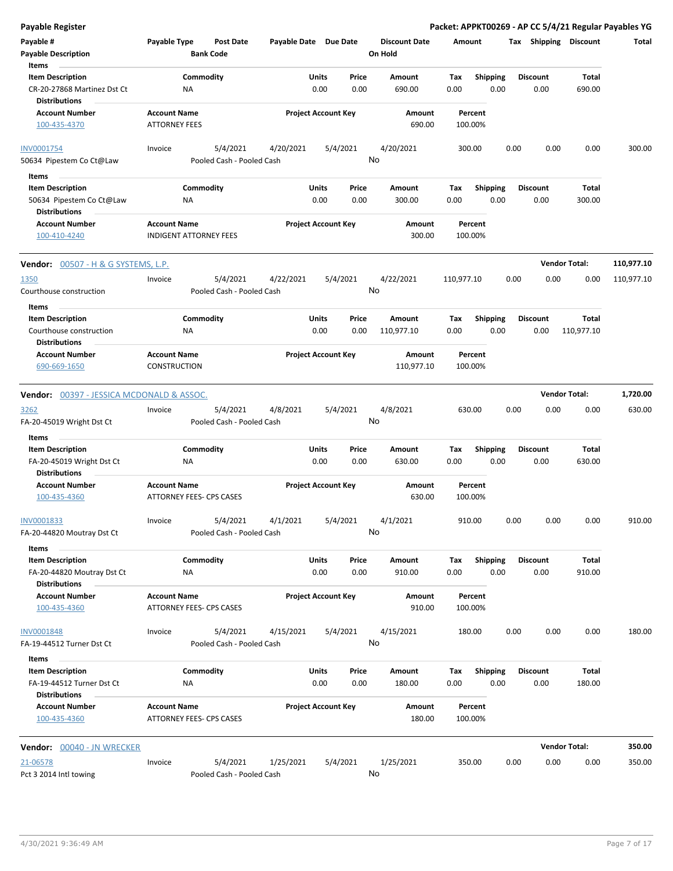| <b>Payable Register</b>                             |                               |                                 |                            |          |       |                      |            |                 |      |                 |                       | Packet: APPKT00269 - AP CC 5/4/21 Regular Payables YG |
|-----------------------------------------------------|-------------------------------|---------------------------------|----------------------------|----------|-------|----------------------|------------|-----------------|------|-----------------|-----------------------|-------------------------------------------------------|
| Payable #                                           | Payable Type                  | <b>Post Date</b>                | Payable Date Due Date      |          |       | <b>Discount Date</b> | Amount     |                 |      |                 | Tax Shipping Discount | Total                                                 |
| <b>Payable Description</b>                          |                               | <b>Bank Code</b>                |                            |          |       | On Hold              |            |                 |      |                 |                       |                                                       |
| Items                                               |                               |                                 |                            |          |       |                      |            |                 |      |                 |                       |                                                       |
| <b>Item Description</b>                             |                               | Commodity                       |                            | Units    | Price | Amount               | Tax        | Shipping        |      | <b>Discount</b> | Total                 |                                                       |
| CR-20-27868 Martinez Dst Ct<br><b>Distributions</b> | NA                            |                                 |                            | 0.00     | 0.00  | 690.00               | 0.00       | 0.00            |      | 0.00            | 690.00                |                                                       |
| <b>Account Number</b>                               | <b>Account Name</b>           |                                 | <b>Project Account Key</b> |          |       | Amount               |            | Percent         |      |                 |                       |                                                       |
| 100-435-4370                                        | <b>ATTORNEY FEES</b>          |                                 |                            |          |       | 690.00               |            | 100.00%         |      |                 |                       |                                                       |
| <b>INV0001754</b>                                   | Invoice                       | 5/4/2021                        | 4/20/2021                  | 5/4/2021 |       | 4/20/2021            |            | 300.00          | 0.00 | 0.00            | 0.00                  | 300.00                                                |
| 50634 Pipestem Co Ct@Law                            |                               | Pooled Cash - Pooled Cash       |                            |          |       | No                   |            |                 |      |                 |                       |                                                       |
| Items                                               |                               |                                 |                            |          |       |                      |            |                 |      |                 |                       |                                                       |
| <b>Item Description</b>                             |                               | Commodity                       |                            | Units    | Price | Amount               | Tax        | <b>Shipping</b> |      | <b>Discount</b> | Total                 |                                                       |
| 50634 Pipestem Co Ct@Law                            | ΝA                            |                                 |                            | 0.00     | 0.00  | 300.00               | 0.00       | 0.00            |      | 0.00            | 300.00                |                                                       |
| <b>Distributions</b>                                |                               |                                 |                            |          |       |                      |            |                 |      |                 |                       |                                                       |
| <b>Account Number</b>                               | <b>Account Name</b>           |                                 | <b>Project Account Key</b> |          |       | Amount               |            | Percent         |      |                 |                       |                                                       |
| 100-410-4240                                        | <b>INDIGENT ATTORNEY FEES</b> |                                 |                            |          |       | 300.00               |            | 100.00%         |      |                 |                       |                                                       |
| <b>Vendor:</b> 00507 - H & G SYSTEMS, L.P.          |                               |                                 |                            |          |       |                      |            |                 |      |                 | <b>Vendor Total:</b>  | 110,977.10                                            |
| 1350                                                | Invoice                       | 5/4/2021                        | 4/22/2021                  | 5/4/2021 |       | 4/22/2021            | 110,977.10 |                 | 0.00 | 0.00            | 0.00                  | 110,977.10                                            |
| Courthouse construction                             |                               | Pooled Cash - Pooled Cash       |                            |          |       | No                   |            |                 |      |                 |                       |                                                       |
| Items                                               |                               |                                 |                            |          |       |                      |            |                 |      |                 |                       |                                                       |
| <b>Item Description</b>                             |                               | Commodity                       |                            | Units    | Price | Amount               | Tax        | <b>Shipping</b> |      | <b>Discount</b> | Total                 |                                                       |
| Courthouse construction                             | ΝA                            |                                 |                            | 0.00     | 0.00  | 110,977.10           | 0.00       | 0.00            |      | 0.00            | 110,977.10            |                                                       |
| <b>Distributions</b>                                |                               |                                 |                            |          |       |                      |            |                 |      |                 |                       |                                                       |
| <b>Account Number</b>                               | <b>Account Name</b>           |                                 | <b>Project Account Key</b> |          |       | Amount               |            | Percent         |      |                 |                       |                                                       |
| 690-669-1650                                        | <b>CONSTRUCTION</b>           |                                 |                            |          |       | 110,977.10           |            | 100.00%         |      |                 |                       |                                                       |
| <b>Vendor:</b> 00397 - JESSICA MCDONALD & ASSOC.    |                               |                                 |                            |          |       |                      |            |                 |      |                 | <b>Vendor Total:</b>  | 1,720.00                                              |
| 3262                                                | Invoice                       | 5/4/2021                        | 4/8/2021                   | 5/4/2021 |       | 4/8/2021             | 630.00     |                 | 0.00 | 0.00            | 0.00                  | 630.00                                                |
| FA-20-45019 Wright Dst Ct                           |                               | Pooled Cash - Pooled Cash       |                            |          |       | No                   |            |                 |      |                 |                       |                                                       |
|                                                     |                               |                                 |                            |          |       |                      |            |                 |      |                 |                       |                                                       |
| Items                                               |                               |                                 |                            |          |       |                      |            |                 |      |                 |                       |                                                       |
| <b>Item Description</b>                             |                               | Commodity                       |                            | Units    | Price | Amount               | Tax        | <b>Shipping</b> |      | <b>Discount</b> | Total                 |                                                       |
| FA-20-45019 Wright Dst Ct                           | NA                            |                                 |                            | 0.00     | 0.00  | 630.00               | 0.00       | 0.00            |      | 0.00            | 630.00                |                                                       |
| <b>Distributions</b>                                |                               |                                 |                            |          |       |                      |            |                 |      |                 |                       |                                                       |
| <b>Account Number</b>                               | <b>Account Name</b>           |                                 | <b>Project Account Key</b> |          |       | Amount               |            | Percent         |      |                 |                       |                                                       |
| 100-435-4360                                        |                               | <b>ATTORNEY FEES- CPS CASES</b> |                            |          |       | 630.00               |            | 100.00%         |      |                 |                       |                                                       |
| INV0001833                                          | Invoice                       | 5/4/2021                        | 4/1/2021                   | 5/4/2021 |       | 4/1/2021             | 910.00     |                 | 0.00 | 0.00            | 0.00                  | 910.00                                                |
| FA-20-44820 Moutray Dst Ct                          |                               | Pooled Cash - Pooled Cash       |                            |          |       | No                   |            |                 |      |                 |                       |                                                       |
| Items                                               |                               |                                 |                            |          |       |                      |            |                 |      |                 |                       |                                                       |
| <b>Item Description</b>                             |                               | Commodity                       |                            | Units    | Price | Amount               | Tax        | <b>Shipping</b> |      | <b>Discount</b> | Total                 |                                                       |
| FA-20-44820 Moutray Dst Ct                          | ΝA                            |                                 |                            | 0.00     | 0.00  | 910.00               | 0.00       | 0.00            |      | 0.00            | 910.00                |                                                       |
| <b>Distributions</b>                                |                               |                                 |                            |          |       |                      |            |                 |      |                 |                       |                                                       |
| <b>Account Number</b>                               | <b>Account Name</b>           |                                 | <b>Project Account Key</b> |          |       | Amount               |            | Percent         |      |                 |                       |                                                       |
| 100-435-4360                                        |                               | ATTORNEY FEES- CPS CASES        |                            |          |       | 910.00               |            | 100.00%         |      |                 |                       |                                                       |
| <b>INV0001848</b>                                   | Invoice                       | 5/4/2021                        | 4/15/2021                  | 5/4/2021 |       | 4/15/2021            |            | 180.00          | 0.00 | 0.00            | 0.00                  | 180.00                                                |
| FA-19-44512 Turner Dst Ct                           |                               | Pooled Cash - Pooled Cash       |                            |          |       | No                   |            |                 |      |                 |                       |                                                       |
| Items                                               |                               |                                 |                            |          |       |                      |            |                 |      |                 |                       |                                                       |
| <b>Item Description</b>                             |                               | Commodity                       |                            | Units    | Price | Amount               | Tax        | <b>Shipping</b> |      | <b>Discount</b> | Total                 |                                                       |
| FA-19-44512 Turner Dst Ct                           | NA                            |                                 |                            | 0.00     | 0.00  | 180.00               | 0.00       | 0.00            |      | 0.00            | 180.00                |                                                       |
| <b>Distributions</b>                                |                               |                                 |                            |          |       |                      |            |                 |      |                 |                       |                                                       |
| <b>Account Number</b>                               | <b>Account Name</b>           |                                 | <b>Project Account Key</b> |          |       | Amount               |            | Percent         |      |                 |                       |                                                       |
| 100-435-4360                                        |                               | ATTORNEY FEES- CPS CASES        |                            |          |       | 180.00               |            | 100.00%         |      |                 |                       |                                                       |
| Vendor: 00040 - JN WRECKER                          |                               |                                 |                            |          |       |                      |            |                 |      |                 | <b>Vendor Total:</b>  | 350.00                                                |
|                                                     |                               | 5/4/2021                        |                            |          |       | 1/25/2021            |            |                 |      |                 |                       |                                                       |
| 21-06578<br>Pct 3 2014 Intl towing                  | Invoice                       | Pooled Cash - Pooled Cash       | 1/25/2021                  | 5/4/2021 |       | No                   |            | 350.00          | 0.00 | 0.00            | 0.00                  | 350.00                                                |
|                                                     |                               |                                 |                            |          |       |                      |            |                 |      |                 |                       |                                                       |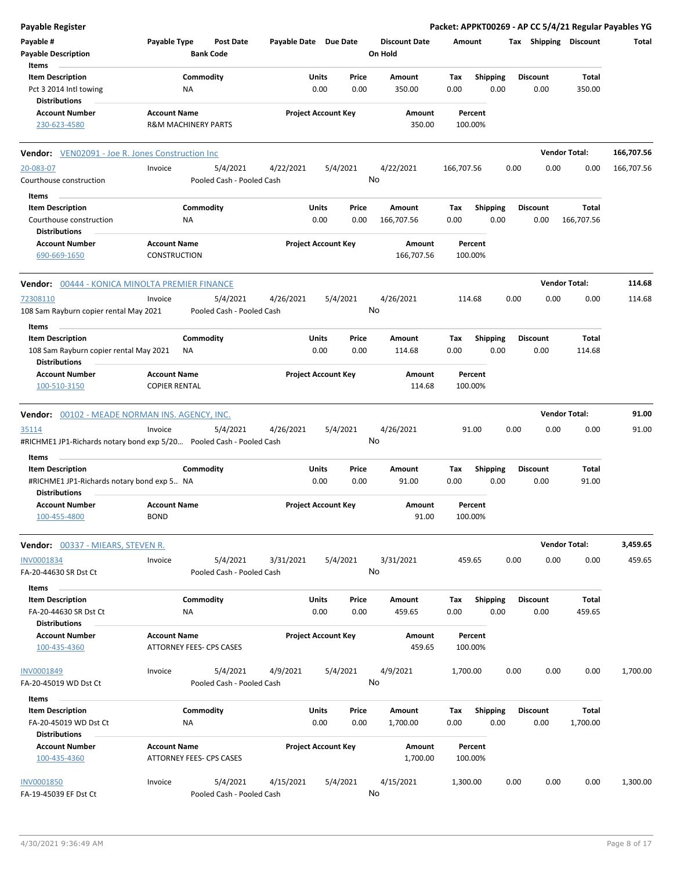| <b>Payable Register</b>                                                                     |                                                                                             |                       |                            |                                 | Packet: APPKT00269 - AP CC 5/4/21 Regular Payables YG |                         |                      |            |
|---------------------------------------------------------------------------------------------|---------------------------------------------------------------------------------------------|-----------------------|----------------------------|---------------------------------|-------------------------------------------------------|-------------------------|----------------------|------------|
| Payable #<br><b>Payable Description</b><br>Items                                            | Payable Type<br><b>Post Date</b><br><b>Bank Code</b>                                        | Payable Date Due Date |                            | <b>Discount Date</b><br>On Hold | Amount                                                | Tax Shipping Discount   |                      | Total      |
| <b>Item Description</b><br>Pct 3 2014 Intl towing                                           | Commodity<br>NA                                                                             | Units<br>0.00         | Price<br>0.00              | Amount<br>350.00                | Tax<br><b>Shipping</b><br>0.00<br>0.00                | <b>Discount</b><br>0.00 | Total<br>350.00      |            |
| <b>Distributions</b><br><b>Account Number</b>                                               | <b>Account Name</b>                                                                         |                       | <b>Project Account Key</b> | Amount                          | Percent                                               |                         |                      |            |
| 230-623-4580                                                                                | <b>R&amp;M MACHINERY PARTS</b>                                                              |                       |                            | 350.00                          | 100.00%                                               |                         |                      |            |
| <b>Vendor:</b> VEN02091 - Joe R. Jones Construction Inc                                     |                                                                                             |                       |                            |                                 |                                                       |                         | <b>Vendor Total:</b> | 166,707.56 |
| 20-083-07<br>Courthouse construction                                                        | 5/4/2021<br>Invoice<br>Pooled Cash - Pooled Cash                                            | 4/22/2021             | 5/4/2021                   | 4/22/2021<br>No                 | 166,707.56                                            | 0.00<br>0.00            | 0.00                 | 166,707.56 |
| Items<br><b>Item Description</b><br>Courthouse construction                                 | Commodity<br>ΝA                                                                             | Units<br>0.00         | Price<br>0.00              | Amount<br>166,707.56            | <b>Shipping</b><br>Tax<br>0.00<br>0.00                | <b>Discount</b><br>0.00 | Total<br>166,707.56  |            |
| Distributions<br><b>Account Number</b><br>690-669-1650                                      | <b>Account Name</b><br>CONSTRUCTION                                                         |                       | <b>Project Account Key</b> | Amount<br>166,707.56            | Percent<br>100.00%                                    |                         |                      |            |
| Vendor: 00444 - KONICA MINOLTA PREMIER FINANCE                                              |                                                                                             |                       |                            |                                 |                                                       |                         | <b>Vendor Total:</b> | 114.68     |
| 72308110<br>108 Sam Rayburn copier rental May 2021                                          | 5/4/2021<br>Invoice<br>Pooled Cash - Pooled Cash                                            | 4/26/2021             | 5/4/2021                   | 4/26/2021<br>No                 | 114.68                                                | 0.00<br>0.00            | 0.00                 | 114.68     |
| Items<br><b>Item Description</b><br>108 Sam Rayburn copier rental May 2021<br>Distributions | Commodity<br>ΝA                                                                             | Units<br>0.00         | Price<br>0.00              | Amount<br>114.68                | Tax<br><b>Shipping</b><br>0.00<br>0.00                | <b>Discount</b><br>0.00 | Total<br>114.68      |            |
| <b>Account Number</b><br>100-510-3150                                                       | <b>Account Name</b><br><b>COPIER RENTAL</b>                                                 |                       | <b>Project Account Key</b> | Amount<br>114.68                | Percent<br>100.00%                                    |                         |                      |            |
| Vendor: 00102 - MEADE NORMAN INS. AGENCY, INC.                                              |                                                                                             |                       |                            |                                 |                                                       |                         | <b>Vendor Total:</b> | 91.00      |
| 35114                                                                                       | Invoice<br>5/4/2021<br>#RICHME1 JP1-Richards notary bond exp 5/20 Pooled Cash - Pooled Cash | 4/26/2021             | 5/4/2021                   | 4/26/2021<br>No                 | 91.00                                                 | 0.00<br>0.00            | 0.00                 | 91.00      |
| Items<br><b>Item Description</b><br>#RICHME1 JP1-Richards notary bond exp 5 NA              | Commodity                                                                                   | Units<br>0.00         | Price<br>0.00              | Amount<br>91.00                 | Tax<br><b>Shipping</b><br>0.00<br>0.00                | <b>Discount</b><br>0.00 | Total<br>91.00       |            |
| Distributions<br>Account Number<br>100-455-4800                                             | <b>Account Name</b><br><b>BOND</b>                                                          |                       | <b>Project Account Key</b> | Amount<br>91.00                 | Percent<br>100.00%                                    |                         |                      |            |
| <b>Vendor: 00337 - MIEARS, STEVEN R.</b>                                                    |                                                                                             |                       |                            |                                 |                                                       |                         | <b>Vendor Total:</b> | 3,459.65   |
| INV0001834<br>FA-20-44630 SR Dst Ct                                                         | 5/4/2021<br>Invoice<br>Pooled Cash - Pooled Cash                                            | 3/31/2021             | 5/4/2021                   | 3/31/2021<br>No                 | 459.65                                                | 0.00<br>0.00            | 0.00                 | 459.65     |
| Items<br><b>Item Description</b><br>FA-20-44630 SR Dst Ct<br><b>Distributions</b>           | Commodity<br>ΝA                                                                             | <b>Units</b><br>0.00  | Price<br>0.00              | Amount<br>459.65                | <b>Shipping</b><br>Tax<br>0.00<br>0.00                | Discount<br>0.00        | Total<br>459.65      |            |
| <b>Account Number</b><br>100-435-4360                                                       | <b>Account Name</b><br>ATTORNEY FEES- CPS CASES                                             |                       | <b>Project Account Key</b> | Amount<br>459.65                | Percent<br>100.00%                                    |                         |                      |            |
| <b>INV0001849</b><br>FA-20-45019 WD Dst Ct                                                  | 5/4/2021<br>Invoice<br>Pooled Cash - Pooled Cash                                            | 4/9/2021              | 5/4/2021                   | 4/9/2021<br>No                  | 1,700.00                                              | 0.00<br>0.00            | 0.00                 | 1,700.00   |
| Items<br><b>Item Description</b><br>FA-20-45019 WD Dst Ct<br><b>Distributions</b>           | Commodity<br>NA                                                                             | Units<br>0.00         | Price<br>0.00              | Amount<br>1,700.00              | Tax<br><b>Shipping</b><br>0.00<br>0.00                | <b>Discount</b><br>0.00 | Total<br>1,700.00    |            |
| <b>Account Number</b><br>100-435-4360                                                       | <b>Account Name</b><br>ATTORNEY FEES- CPS CASES                                             |                       | <b>Project Account Key</b> | Amount<br>1,700.00              | Percent<br>100.00%                                    |                         |                      |            |
| <b>INV0001850</b><br>FA-19-45039 EF Dst Ct                                                  | 5/4/2021<br>Invoice<br>Pooled Cash - Pooled Cash                                            | 4/15/2021             | 5/4/2021                   | 4/15/2021<br>No                 | 1,300.00                                              | 0.00<br>0.00            | 0.00                 | 1,300.00   |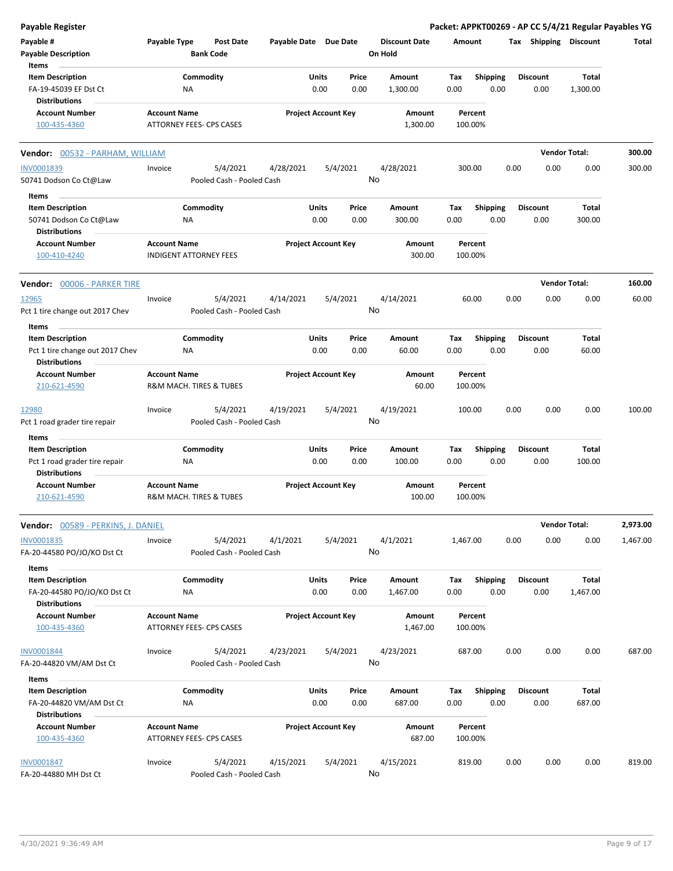| <b>Payable Register</b>                                                            |                                                               |                                       |                       |                            |               |                                 |             |                         |      |                         |                   | Packet: APPKT00269 - AP CC 5/4/21 Regular Payables YG |
|------------------------------------------------------------------------------------|---------------------------------------------------------------|---------------------------------------|-----------------------|----------------------------|---------------|---------------------------------|-------------|-------------------------|------|-------------------------|-------------------|-------------------------------------------------------|
| Payable #<br><b>Payable Description</b><br>Items                                   | Payable Type                                                  | <b>Post Date</b><br><b>Bank Code</b>  | Payable Date Due Date |                            |               | <b>Discount Date</b><br>On Hold | Amount      |                         |      | Tax Shipping Discount   |                   | Total                                                 |
| <b>Item Description</b><br>FA-19-45039 EF Dst Ct                                   | Commodity<br><b>NA</b>                                        |                                       |                       | Units<br>0.00              | Price<br>0.00 | Amount<br>1,300.00              | Tax<br>0.00 | <b>Shipping</b><br>0.00 |      | <b>Discount</b><br>0.00 | Total<br>1,300.00 |                                                       |
| <b>Distributions</b><br><b>Account Number</b><br>100-435-4360                      | <b>Account Name</b><br>ATTORNEY FEES- CPS CASES               |                                       |                       | <b>Project Account Key</b> |               | Amount<br>1,300.00              | 100.00%     | Percent                 |      |                         |                   |                                                       |
| Vendor: 00532 - PARHAM, WILLIAM                                                    |                                                               |                                       |                       |                            |               |                                 |             |                         |      | <b>Vendor Total:</b>    |                   | 300.00                                                |
| INV0001839                                                                         | Invoice                                                       | 5/4/2021                              | 4/28/2021             | 5/4/2021                   |               | 4/28/2021                       | 300.00      |                         | 0.00 | 0.00                    | 0.00              | 300.00                                                |
| 50741 Dodson Co Ct@Law                                                             |                                                               | Pooled Cash - Pooled Cash             |                       |                            |               | No                              |             |                         |      |                         |                   |                                                       |
| Items                                                                              |                                                               |                                       |                       |                            |               |                                 |             |                         |      |                         |                   |                                                       |
| <b>Item Description</b><br>50741 Dodson Co Ct@Law<br><b>Distributions</b>          | Commodity<br>NA                                               |                                       |                       | Units<br>0.00              | Price<br>0.00 | Amount<br>300.00                | Tax<br>0.00 | <b>Shipping</b><br>0.00 |      | <b>Discount</b><br>0.00 | Total<br>300.00   |                                                       |
| <b>Account Number</b><br>100-410-4240                                              | <b>Account Name</b><br><b>INDIGENT ATTORNEY FEES</b>          |                                       |                       | <b>Project Account Key</b> |               | Amount<br>300.00                | 100.00%     | Percent                 |      |                         |                   |                                                       |
| Vendor: 00006 - PARKER TIRE                                                        |                                                               |                                       |                       |                            |               |                                 |             |                         |      | <b>Vendor Total:</b>    |                   | 160.00                                                |
| 12965<br>Pct 1 tire change out 2017 Chev                                           | Invoice                                                       | 5/4/2021<br>Pooled Cash - Pooled Cash | 4/14/2021             | 5/4/2021                   |               | 4/14/2021<br>No                 |             | 60.00                   | 0.00 | 0.00                    | 0.00              | 60.00                                                 |
| Items                                                                              |                                                               |                                       |                       |                            |               |                                 |             |                         |      |                         |                   |                                                       |
| <b>Item Description</b><br>Pct 1 tire change out 2017 Chev<br><b>Distributions</b> | Commodity<br><b>NA</b>                                        |                                       |                       | Units<br>0.00              | Price<br>0.00 | Amount<br>60.00                 | Tax<br>0.00 | <b>Shipping</b><br>0.00 |      | <b>Discount</b><br>0.00 | Total<br>60.00    |                                                       |
| <b>Account Number</b><br>210-621-4590                                              | <b>Account Name</b><br>R&M MACH. TIRES & TUBES                |                                       |                       | <b>Project Account Key</b> |               | Amount<br>60.00                 | 100.00%     | Percent                 |      |                         |                   |                                                       |
| 12980<br>Pct 1 road grader tire repair                                             | Invoice                                                       | 5/4/2021<br>Pooled Cash - Pooled Cash | 4/19/2021             | 5/4/2021                   |               | 4/19/2021<br>No                 | 100.00      |                         | 0.00 | 0.00                    | 0.00              | 100.00                                                |
| Items                                                                              |                                                               |                                       |                       |                            |               |                                 |             |                         |      |                         |                   |                                                       |
| <b>Item Description</b><br>Pct 1 road grader tire repair<br><b>Distributions</b>   | Commodity<br>ΝA                                               |                                       |                       | Units<br>0.00              | Price<br>0.00 | Amount<br>100.00                | Tax<br>0.00 | <b>Shipping</b><br>0.00 |      | <b>Discount</b><br>0.00 | Total<br>100.00   |                                                       |
| <b>Account Number</b><br>210-621-4590                                              | <b>Account Name</b><br><b>R&amp;M MACH. TIRES &amp; TUBES</b> |                                       |                       | <b>Project Account Key</b> |               | Amount<br>100.00                | 100.00%     | Percent                 |      |                         |                   |                                                       |
| <b>Vendor:</b> 00589 - PERKINS, J. DANIEL                                          |                                                               |                                       |                       |                            |               |                                 |             |                         |      | <b>Vendor Total:</b>    |                   | 2,973.00                                              |
| INV0001835<br>FA-20-44580 PO/JO/KO Dst Ct                                          | Invoice                                                       | 5/4/2021<br>Pooled Cash - Pooled Cash | 4/1/2021              | 5/4/2021                   |               | 4/1/2021<br>No                  | 1,467.00    |                         | 0.00 | 0.00                    | 0.00              | 1,467.00                                              |
| Items                                                                              |                                                               |                                       |                       |                            |               |                                 |             |                         |      |                         |                   |                                                       |
| <b>Item Description</b><br>FA-20-44580 PO/JO/KO Dst Ct<br><b>Distributions</b>     | Commodity<br>ΝA                                               |                                       |                       | Units<br>0.00              | Price<br>0.00 | Amount<br>1,467.00              | Tax<br>0.00 | <b>Shipping</b><br>0.00 |      | <b>Discount</b><br>0.00 | Total<br>1,467.00 |                                                       |
| <b>Account Number</b><br>100-435-4360                                              | <b>Account Name</b><br>ATTORNEY FEES- CPS CASES               |                                       |                       | <b>Project Account Key</b> |               | Amount<br>1,467.00              | 100.00%     | Percent                 |      |                         |                   |                                                       |
| INV0001844<br>FA-20-44820 VM/AM Dst Ct                                             | Invoice                                                       | 5/4/2021<br>Pooled Cash - Pooled Cash | 4/23/2021             | 5/4/2021                   |               | 4/23/2021<br>No                 | 687.00      |                         | 0.00 | 0.00                    | 0.00              | 687.00                                                |
| Items                                                                              |                                                               |                                       |                       |                            |               |                                 |             |                         |      |                         |                   |                                                       |
| <b>Item Description</b><br>FA-20-44820 VM/AM Dst Ct<br><b>Distributions</b>        | Commodity<br>NA                                               |                                       |                       | Units<br>0.00              | Price<br>0.00 | Amount<br>687.00                | Tax<br>0.00 | <b>Shipping</b><br>0.00 |      | <b>Discount</b><br>0.00 | Total<br>687.00   |                                                       |
| <b>Account Number</b><br>100-435-4360                                              | <b>Account Name</b><br>ATTORNEY FEES- CPS CASES               |                                       |                       | <b>Project Account Key</b> |               | Amount<br>687.00                | 100.00%     | Percent                 |      |                         |                   |                                                       |
| <b>INV0001847</b><br>FA-20-44880 MH Dst Ct                                         | Invoice                                                       | 5/4/2021<br>Pooled Cash - Pooled Cash | 4/15/2021             | 5/4/2021                   |               | 4/15/2021<br>No                 | 819.00      |                         | 0.00 | 0.00                    | 0.00              | 819.00                                                |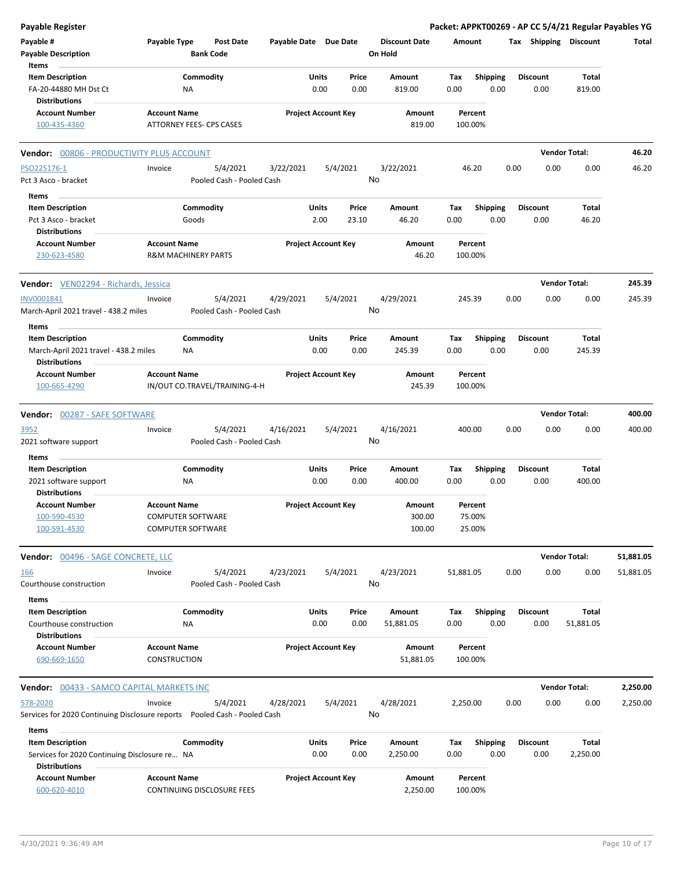| Payable Register                                                         |                                                                            |                       |                            |                                 | Packet: APPKT00269 - AP CC 5/4/21 Regular Payables YG |      |                         |                      |           |
|--------------------------------------------------------------------------|----------------------------------------------------------------------------|-----------------------|----------------------------|---------------------------------|-------------------------------------------------------|------|-------------------------|----------------------|-----------|
| Payable #<br><b>Payable Description</b>                                  | Payable Type<br><b>Post Date</b><br><b>Bank Code</b>                       | Payable Date Due Date |                            | <b>Discount Date</b><br>On Hold | Amount                                                |      | Tax Shipping Discount   |                      | Total     |
| Items                                                                    |                                                                            |                       |                            |                                 |                                                       |      |                         |                      |           |
| <b>Item Description</b><br>FA-20-44880 MH Dst Ct<br><b>Distributions</b> | Commodity<br>NA                                                            | Units                 | Price<br>0.00<br>0.00      | Amount<br>819.00                | <b>Shipping</b><br>Tax<br>0.00                        | 0.00 | <b>Discount</b><br>0.00 | Total<br>819.00      |           |
| <b>Account Number</b><br>100-435-4360                                    | <b>Account Name</b><br>ATTORNEY FEES- CPS CASES                            |                       | <b>Project Account Key</b> | Amount<br>819.00                | Percent<br>100.00%                                    |      |                         |                      |           |
| Vendor: 00806 - PRODUCTIVITY PLUS ACCOUNT                                |                                                                            |                       |                            |                                 |                                                       |      |                         | <b>Vendor Total:</b> | 46.20     |
| PSO225176-1                                                              | 5/4/2021<br>Invoice                                                        | 3/22/2021             | 5/4/2021                   | 3/22/2021                       | 46.20                                                 | 0.00 | 0.00                    | 0.00                 | 46.20     |
| Pct 3 Asco - bracket                                                     | Pooled Cash - Pooled Cash                                                  |                       |                            | No                              |                                                       |      |                         |                      |           |
| Items                                                                    |                                                                            |                       |                            |                                 |                                                       |      |                         |                      |           |
| <b>Item Description</b>                                                  | Commodity                                                                  | Units                 | Price                      | Amount                          | Tax<br><b>Shipping</b>                                |      | <b>Discount</b>         | Total                |           |
| Pct 3 Asco - bracket                                                     | Goods                                                                      |                       | 2.00<br>23.10              | 46.20                           | 0.00                                                  | 0.00 | 0.00                    | 46.20                |           |
| <b>Distributions</b>                                                     |                                                                            |                       |                            |                                 |                                                       |      |                         |                      |           |
| <b>Account Number</b><br>230-623-4580                                    | <b>Account Name</b><br><b>R&amp;M MACHINERY PARTS</b>                      |                       | <b>Project Account Key</b> | Amount<br>46.20                 | Percent<br>100.00%                                    |      |                         |                      |           |
| Vendor: VEN02294 - Richards, Jessica                                     |                                                                            |                       |                            |                                 |                                                       |      |                         | <b>Vendor Total:</b> | 245.39    |
| INV0001841                                                               | 5/4/2021<br>Invoice                                                        | 4/29/2021             | 5/4/2021                   | 4/29/2021                       | 245.39                                                | 0.00 | 0.00                    | 0.00                 | 245.39    |
| March-April 2021 travel - 438.2 miles                                    | Pooled Cash - Pooled Cash                                                  |                       |                            | No                              |                                                       |      |                         |                      |           |
| Items                                                                    |                                                                            |                       |                            |                                 |                                                       |      |                         |                      |           |
| <b>Item Description</b>                                                  | Commodity                                                                  | Units                 | Price                      | Amount                          | Tax<br><b>Shipping</b>                                |      | <b>Discount</b>         | Total                |           |
| March-April 2021 travel - 438.2 miles<br><b>Distributions</b>            | NA                                                                         |                       | 0.00<br>0.00               | 245.39                          | 0.00                                                  | 0.00 | 0.00                    | 245.39               |           |
| <b>Account Number</b><br>100-665-4290                                    | <b>Account Name</b><br>IN/OUT CO.TRAVEL/TRAINING-4-H                       |                       | <b>Project Account Key</b> | Amount<br>245.39                | Percent<br>100.00%                                    |      |                         |                      |           |
| Vendor: 00287 - SAFE SOFTWARE                                            |                                                                            |                       |                            |                                 |                                                       |      |                         | <b>Vendor Total:</b> | 400.00    |
| 3952                                                                     | 5/4/2021<br>Invoice                                                        | 4/16/2021             | 5/4/2021                   | 4/16/2021                       | 400.00                                                | 0.00 | 0.00                    | 0.00                 | 400.00    |
| 2021 software support                                                    | Pooled Cash - Pooled Cash                                                  |                       |                            | No                              |                                                       |      |                         |                      |           |
| Items                                                                    |                                                                            |                       |                            |                                 |                                                       |      |                         |                      |           |
| <b>Item Description</b>                                                  | Commodity                                                                  | Units                 | Price                      | Amount                          | Tax<br><b>Shipping</b>                                |      | <b>Discount</b>         | Total                |           |
| 2021 software support                                                    | ΝA                                                                         |                       | 0.00<br>0.00               | 400.00                          | 0.00                                                  | 0.00 | 0.00                    | 400.00               |           |
| <b>Distributions</b>                                                     |                                                                            |                       |                            |                                 |                                                       |      |                         |                      |           |
| <b>Account Number</b>                                                    | <b>Account Name</b>                                                        |                       | <b>Project Account Key</b> | Amount                          | Percent                                               |      |                         |                      |           |
| 100-590-4530                                                             | <b>COMPUTER SOFTWARE</b>                                                   |                       |                            | 300.00                          | 75.00%                                                |      |                         |                      |           |
| 100-591-4530                                                             | <b>COMPUTER SOFTWARE</b>                                                   |                       |                            | 100.00                          | 25.00%                                                |      |                         |                      |           |
| Vendor: 00496 - SAGE CONCRETE, LLC                                       |                                                                            |                       |                            |                                 |                                                       |      |                         | <b>Vendor Total:</b> | 51,881.05 |
| 166                                                                      | 5/4/2021<br>Invoice                                                        | 4/23/2021             | 5/4/2021                   | 4/23/2021                       | 51,881.05                                             | 0.00 | 0.00                    | 0.00                 | 51,881.05 |
| Courthouse construction<br>Items                                         | Pooled Cash - Pooled Cash                                                  |                       |                            | No                              |                                                       |      |                         |                      |           |
| <b>Item Description</b>                                                  | Commodity                                                                  | Units                 | Price                      | Amount                          | Shipping<br>Tax                                       |      | <b>Discount</b>         | Total                |           |
| Courthouse construction                                                  | NA                                                                         |                       | 0.00<br>0.00               | 51,881.05                       | 0.00                                                  | 0.00 | 0.00                    | 51,881.05            |           |
| <b>Distributions</b>                                                     |                                                                            |                       |                            |                                 |                                                       |      |                         |                      |           |
| <b>Account Number</b>                                                    | <b>Account Name</b>                                                        |                       | <b>Project Account Key</b> | Amount                          | Percent                                               |      |                         |                      |           |
| 690-669-1650                                                             | CONSTRUCTION                                                               |                       |                            | 51,881.05                       | 100.00%                                               |      |                         |                      |           |
| <b>Vendor: 00433 - SAMCO CAPITAL MARKETS INC</b>                         |                                                                            |                       |                            |                                 |                                                       |      |                         | <b>Vendor Total:</b> | 2,250.00  |
| 578-2020                                                                 | 5/4/2021<br>Invoice                                                        | 4/28/2021             | 5/4/2021                   | 4/28/2021                       | 2,250.00                                              | 0.00 | 0.00                    | 0.00                 | 2,250.00  |
|                                                                          | Services for 2020 Continuing Disclosure reports  Pooled Cash - Pooled Cash |                       |                            | No                              |                                                       |      |                         |                      |           |
| Items                                                                    |                                                                            |                       |                            |                                 |                                                       |      |                         |                      |           |
| <b>Item Description</b>                                                  | Commodity                                                                  | Units                 | Price<br>0.00<br>0.00      | Amount                          | Shipping<br>Tax                                       | 0.00 | <b>Discount</b><br>0.00 | Total                |           |
| Services for 2020 Continuing Disclosure re NA<br><b>Distributions</b>    |                                                                            |                       |                            | 2,250.00                        | 0.00                                                  |      |                         | 2,250.00             |           |
| <b>Account Number</b>                                                    | <b>Account Name</b>                                                        |                       | <b>Project Account Key</b> | Amount                          | Percent                                               |      |                         |                      |           |
| 600-620-4010                                                             | CONTINUING DISCLOSURE FEES                                                 |                       |                            | 2,250.00                        | 100.00%                                               |      |                         |                      |           |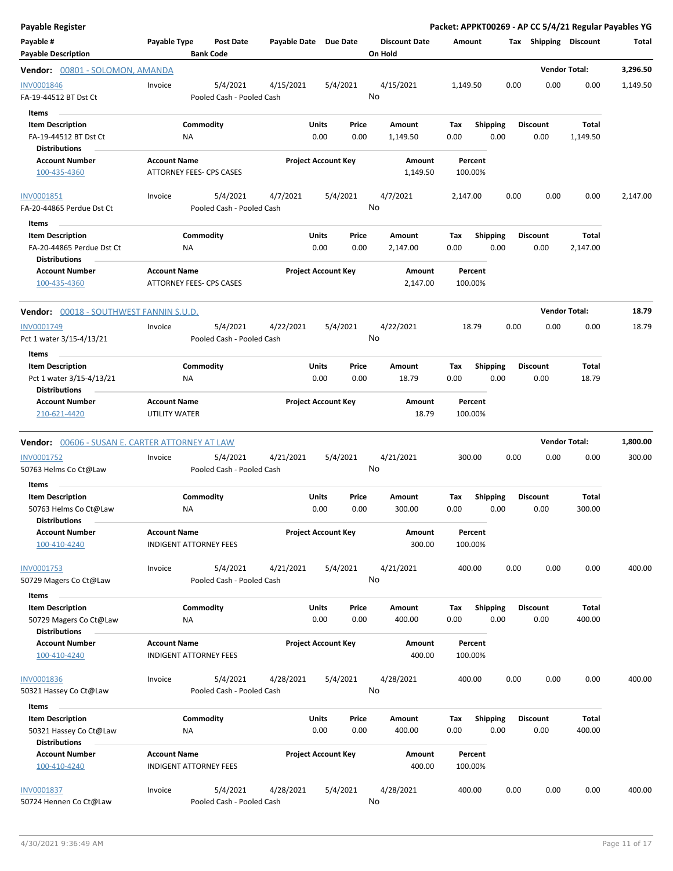| <b>Payable Register</b>                                                               |                                                        |                                       |                       |                            |               |                                 |                    |                         |      |                         |                          | Packet: APPKT00269 - AP CC 5/4/21 Regular Payables YG |
|---------------------------------------------------------------------------------------|--------------------------------------------------------|---------------------------------------|-----------------------|----------------------------|---------------|---------------------------------|--------------------|-------------------------|------|-------------------------|--------------------------|-------------------------------------------------------|
| Payable #<br><b>Payable Description</b>                                               | Payable Type                                           | <b>Post Date</b><br><b>Bank Code</b>  | Payable Date Due Date |                            |               | <b>Discount Date</b><br>On Hold | Amount             |                         |      | Tax Shipping Discount   |                          | Total                                                 |
| Vendor: 00801 - SOLOMON, AMANDA                                                       |                                                        |                                       |                       |                            |               |                                 |                    |                         |      |                         | <b>Vendor Total:</b>     | 3,296.50                                              |
| INV0001846<br>FA-19-44512 BT Dst Ct                                                   | Invoice                                                | 5/4/2021<br>Pooled Cash - Pooled Cash | 4/15/2021             | 5/4/2021                   |               | 4/15/2021<br>No                 | 1,149.50           |                         | 0.00 | 0.00                    | 0.00                     | 1,149.50                                              |
| Items<br><b>Item Description</b><br>FA-19-44512 BT Dst Ct<br><b>Distributions</b>     | ΝA                                                     | Commodity                             |                       | Units<br>0.00              | Price<br>0.00 | Amount<br>1,149.50              | Tax<br>0.00        | <b>Shipping</b><br>0.00 |      | <b>Discount</b><br>0.00 | <b>Total</b><br>1,149.50 |                                                       |
| <b>Account Number</b><br>100-435-4360                                                 | <b>Account Name</b><br><b>ATTORNEY FEES- CPS CASES</b> |                                       |                       | <b>Project Account Key</b> |               | Amount<br>1,149.50              | Percent<br>100.00% |                         |      |                         |                          |                                                       |
| INV0001851<br>FA-20-44865 Perdue Dst Ct                                               | Invoice                                                | 5/4/2021<br>Pooled Cash - Pooled Cash | 4/7/2021              | 5/4/2021                   |               | 4/7/2021<br>No                  | 2,147.00           |                         | 0.00 | 0.00                    | 0.00                     | 2,147.00                                              |
| Items<br><b>Item Description</b><br>FA-20-44865 Perdue Dst Ct<br><b>Distributions</b> | NA                                                     | Commodity                             |                       | Units<br>0.00              | Price<br>0.00 | Amount<br>2,147.00              | Tax<br>0.00        | <b>Shipping</b><br>0.00 |      | <b>Discount</b><br>0.00 | <b>Total</b><br>2,147.00 |                                                       |
| <b>Account Number</b><br>100-435-4360                                                 | <b>Account Name</b><br><b>ATTORNEY FEES- CPS CASES</b> |                                       |                       | <b>Project Account Key</b> |               | Amount<br>2,147.00              | Percent<br>100.00% |                         |      |                         |                          |                                                       |
| <b>Vendor: 00018 - SOUTHWEST FANNIN S.U.D.</b>                                        |                                                        |                                       |                       |                            |               |                                 |                    |                         |      |                         | <b>Vendor Total:</b>     | 18.79                                                 |
| INV0001749<br>Pct 1 water 3/15-4/13/21                                                | Invoice                                                | 5/4/2021<br>Pooled Cash - Pooled Cash | 4/22/2021             | 5/4/2021                   |               | 4/22/2021<br>No                 | 18.79              |                         | 0.00 | 0.00                    | 0.00                     | 18.79                                                 |
| Items<br><b>Item Description</b><br>Pct 1 water 3/15-4/13/21<br><b>Distributions</b>  | ΝA                                                     | Commodity                             |                       | Units<br>0.00              | Price<br>0.00 | Amount<br>18.79                 | Tax<br>0.00        | <b>Shipping</b><br>0.00 |      | <b>Discount</b><br>0.00 | Total<br>18.79           |                                                       |
| <b>Account Number</b><br>210-621-4420                                                 | <b>Account Name</b><br>UTILITY WATER                   |                                       |                       | <b>Project Account Key</b> |               | Amount<br>18.79                 | Percent<br>100.00% |                         |      |                         |                          |                                                       |
| <b>Vendor: 00606 - SUSAN E. CARTER ATTORNEY AT LAW</b>                                |                                                        |                                       |                       |                            |               |                                 |                    |                         |      |                         | <b>Vendor Total:</b>     | 1,800.00                                              |
| <b>INV0001752</b><br>50763 Helms Co Ct@Law                                            | Invoice                                                | 5/4/2021<br>Pooled Cash - Pooled Cash | 4/21/2021             | 5/4/2021                   |               | 4/21/2021<br>No                 | 300.00             |                         | 0.00 | 0.00                    | 0.00                     | 300.00                                                |
| Items<br><b>Item Description</b><br>50763 Helms Co Ct@Law<br><b>Distributions</b>     | NA.                                                    | Commodity                             |                       | Units<br>0.00              | Price<br>0.00 | Amount<br>300.00                | Tax<br>$0.00\,$    | Shipping<br>0.00        |      | <b>Discount</b><br>0.00 | Total<br>300.00          |                                                       |
| <b>Account Number</b><br>100-410-4240                                                 | <b>Account Name</b><br><b>INDIGENT ATTORNEY FEES</b>   |                                       |                       | <b>Project Account Key</b> |               | Amount<br>300.00                | Percent<br>100.00% |                         |      |                         |                          |                                                       |
| INV0001753<br>50729 Magers Co Ct@Law                                                  | Invoice                                                | 5/4/2021<br>Pooled Cash - Pooled Cash | 4/21/2021             | 5/4/2021                   |               | 4/21/2021<br>No                 | 400.00             |                         | 0.00 | 0.00                    | 0.00                     | 400.00                                                |
| Items<br><b>Item Description</b><br>50729 Magers Co Ct@Law<br><b>Distributions</b>    | ΝA                                                     | Commodity                             |                       | Units<br>0.00              | Price<br>0.00 | Amount<br>400.00                | Tax<br>0.00        | <b>Shipping</b><br>0.00 |      | <b>Discount</b><br>0.00 | Total<br>400.00          |                                                       |
| <b>Account Number</b><br>100-410-4240                                                 | <b>Account Name</b><br><b>INDIGENT ATTORNEY FEES</b>   |                                       |                       | <b>Project Account Key</b> |               | Amount<br>400.00                | Percent<br>100.00% |                         |      |                         |                          |                                                       |
| <b>INV0001836</b><br>50321 Hassey Co Ct@Law                                           | Invoice                                                | 5/4/2021<br>Pooled Cash - Pooled Cash | 4/28/2021             | 5/4/2021                   |               | 4/28/2021<br>No                 | 400.00             |                         | 0.00 | 0.00                    | 0.00                     | 400.00                                                |
| Items<br><b>Item Description</b>                                                      |                                                        | Commodity                             |                       | Units                      | Price         | Amount                          | Tax                | <b>Shipping</b>         |      | <b>Discount</b>         | Total                    |                                                       |
| 50321 Hassey Co Ct@Law<br><b>Distributions</b>                                        | ΝA                                                     |                                       |                       | 0.00                       | 0.00          | 400.00                          | 0.00               | 0.00                    |      | 0.00                    | 400.00                   |                                                       |
| <b>Account Number</b><br>100-410-4240                                                 | <b>Account Name</b><br><b>INDIGENT ATTORNEY FEES</b>   |                                       |                       | <b>Project Account Key</b> |               | Amount<br>400.00                | Percent<br>100.00% |                         |      |                         |                          |                                                       |
| <b>INV0001837</b><br>50724 Hennen Co Ct@Law                                           | Invoice                                                | 5/4/2021<br>Pooled Cash - Pooled Cash | 4/28/2021             | 5/4/2021                   |               | 4/28/2021<br>No                 | 400.00             |                         | 0.00 | 0.00                    | 0.00                     | 400.00                                                |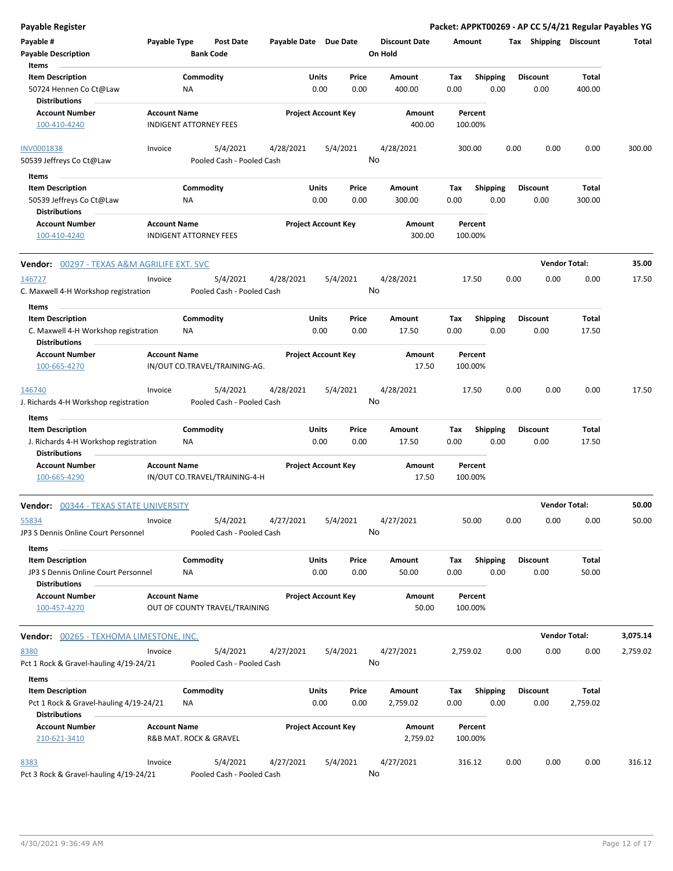| Payable Type<br><b>Post Date</b><br>Payable Date Due Date<br><b>Discount Date</b><br>Tax Shipping Discount<br>Total<br>Amount<br><b>Bank Code</b><br>On Hold<br>Items<br>Commodity<br>Units<br>Price<br>Shipping<br><b>Discount</b><br><b>Item Description</b><br>Amount<br>Tax<br>Total<br>50724 Hennen Co Ct@Law<br>0.00<br>0.00<br>400.00<br>0.00<br>0.00<br>0.00<br>400.00<br>ΝA<br><b>Distributions</b><br><b>Account Number</b><br><b>Account Name</b><br><b>Project Account Key</b><br>Amount<br>Percent<br>100-410-4240<br><b>INDIGENT ATTORNEY FEES</b><br>400.00<br>100.00%<br>5/4/2021<br>5/4/2021<br>4/28/2021<br>0.00<br>300.00<br>Invoice<br>4/28/2021<br>300.00<br>0.00<br>0.00<br>No<br>Pooled Cash - Pooled Cash<br>Items<br><b>Item Description</b><br>Commodity<br>Units<br><b>Shipping</b><br><b>Discount</b><br>Price<br>Amount<br>Tax<br>Total<br>50539 Jeffreys Co Ct@Law<br>0.00<br>0.00<br>300.00<br>0.00<br>0.00<br>0.00<br>300.00<br>ΝA<br><b>Distributions</b><br><b>Account Number</b><br><b>Account Name</b><br><b>Project Account Key</b><br>Amount<br>Percent<br><b>INDIGENT ATTORNEY FEES</b><br>300.00<br>100.00%<br>100-410-4240<br><b>Vendor Total:</b><br>35.00<br><b>Vendor: 00297 - TEXAS A&amp;M AGRILIFE EXT. SVC</b><br>5/4/2021<br>4/28/2021<br>5/4/2021<br>4/28/2021<br>17.50<br>0.00<br>0.00<br>0.00<br>Invoice<br>No<br>C. Maxwell 4-H Workshop registration<br>Pooled Cash - Pooled Cash<br>Items<br>Commodity<br>Units<br><b>Shipping</b><br><b>Discount</b><br><b>Item Description</b><br>Price<br>Amount<br>Tax<br>Total<br>0.00<br>0.00<br>0.00<br>0.00<br>17.50<br>NA<br>17.50<br>0.00<br>C. Maxwell 4-H Workshop registration<br><b>Distributions</b><br><b>Account Name</b><br><b>Project Account Key</b><br><b>Account Number</b><br>Amount<br>Percent<br>IN/OUT CO.TRAVEL/TRAINING-AG.<br>17.50<br>100.00%<br>100-665-4270<br>4/28/2021<br>5/4/2021<br>4/28/2021<br>5/4/2021<br>17.50<br>0.00<br>0.00<br>0.00<br>17.50<br>Invoice<br>No<br>J. Richards 4-H Workshop registration<br>Pooled Cash - Pooled Cash<br>Items<br>Commodity<br>Units<br><b>Shipping</b><br><b>Discount</b><br>Total<br><b>Item Description</b><br>Price<br>Amount<br>Tax<br>0.00<br>0.00<br>17.50<br>0.00<br>0.00<br>0.00<br>17.50<br>NA<br>J. Richards 4-H Workshop registration<br><b>Distributions</b><br><b>Project Account Key</b><br><b>Account Number</b><br><b>Account Name</b><br>Amount<br>Percent<br>100-665-4290<br>IN/OUT CO.TRAVEL/TRAINING-4-H<br>17.50<br>100.00%<br><b>Vendor Total:</b><br>50.00<br><b>Vendor: 00344 - TEXAS STATE UNIVERSITY</b><br>5/4/2021<br>4/27/2021<br>5/4/2021<br>4/27/2021<br>50.00<br>0.00<br>0.00<br>0.00<br>50.00<br>Invoice<br>No<br>JP3 S Dennis Online Court Personnel<br>Pooled Cash - Pooled Cash<br>Items<br>Commodity<br>Units<br>Price<br><b>Shipping</b><br><b>Discount</b><br>Total<br><b>Item Description</b><br>Amount<br>Tax<br>0.00<br>0.00<br>50.00<br>JP3 S Dennis Online Court Personnel<br>0.00<br>50.00<br>0.00<br>0.00<br>ΝA<br><b>Distributions</b><br><b>Account Name</b><br><b>Project Account Key</b><br><b>Account Number</b><br>Amount<br>Percent<br>100-457-4270<br>OUT OF COUNTY TRAVEL/TRAINING<br>50.00<br>100.00%<br><b>Vendor Total:</b><br><b>Vendor:</b> 00265 - TEXHOMA LIMESTONE, INC.<br>4/27/2021<br>8380<br>5/4/2021<br>4/27/2021<br>5/4/2021<br>2,759.02<br>0.00<br>0.00<br>0.00<br>2,759.02<br>Invoice<br>No<br>Pct 1 Rock & Gravel-hauling 4/19-24/21<br>Pooled Cash - Pooled Cash<br>Items<br>Commodity<br>Units<br>Total<br><b>Item Description</b><br>Price<br>Amount<br>Tax<br><b>Shipping</b><br><b>Discount</b><br>Pct 1 Rock & Gravel-hauling 4/19-24/21<br>0.00<br>0.00<br>0.00<br>0.00<br>2,759.02<br>ΝA<br>2,759.02<br>0.00<br><b>Distributions</b><br><b>Account Name</b><br><b>Project Account Key</b><br><b>Account Number</b><br>Amount<br>Percent<br>210-621-3410<br>2,759.02<br>R&B MAT. ROCK & GRAVEL<br>100.00%<br>5/4/2021<br>4/27/2021<br>5/4/2021<br>4/27/2021<br>0.00<br>8383<br>Invoice<br>316.12<br>0.00<br>0.00 | <b>Payable Register</b>                |  |  |  |    |  |  | Packet: APPKT00269 - AP CC 5/4/21 Regular Payables YG |  |
|------------------------------------------------------------------------------------------------------------------------------------------------------------------------------------------------------------------------------------------------------------------------------------------------------------------------------------------------------------------------------------------------------------------------------------------------------------------------------------------------------------------------------------------------------------------------------------------------------------------------------------------------------------------------------------------------------------------------------------------------------------------------------------------------------------------------------------------------------------------------------------------------------------------------------------------------------------------------------------------------------------------------------------------------------------------------------------------------------------------------------------------------------------------------------------------------------------------------------------------------------------------------------------------------------------------------------------------------------------------------------------------------------------------------------------------------------------------------------------------------------------------------------------------------------------------------------------------------------------------------------------------------------------------------------------------------------------------------------------------------------------------------------------------------------------------------------------------------------------------------------------------------------------------------------------------------------------------------------------------------------------------------------------------------------------------------------------------------------------------------------------------------------------------------------------------------------------------------------------------------------------------------------------------------------------------------------------------------------------------------------------------------------------------------------------------------------------------------------------------------------------------------------------------------------------------------------------------------------------------------------------------------------------------------------------------------------------------------------------------------------------------------------------------------------------------------------------------------------------------------------------------------------------------------------------------------------------------------------------------------------------------------------------------------------------------------------------------------------------------------------------------------------------------------------------------------------------------------------------------------------------------------------------------------------------------------------------------------------------------------------------------------------------------------------------------------------------------------------------------------------------------------------------------------------------------------------------------------------------------------------------------------------------------------------------------------------------------------------------------------------------------------------------------------------------------------------------------------------------------------------------------------------------------------------------------------------------------------------------------------------------------------------------------------------------------|----------------------------------------|--|--|--|----|--|--|-------------------------------------------------------|--|
|                                                                                                                                                                                                                                                                                                                                                                                                                                                                                                                                                                                                                                                                                                                                                                                                                                                                                                                                                                                                                                                                                                                                                                                                                                                                                                                                                                                                                                                                                                                                                                                                                                                                                                                                                                                                                                                                                                                                                                                                                                                                                                                                                                                                                                                                                                                                                                                                                                                                                                                                                                                                                                                                                                                                                                                                                                                                                                                                                                                                                                                                                                                                                                                                                                                                                                                                                                                                                                                                                                                                                                                                                                                                                                                                                                                                                                                                                                                                                                                                                                                                  | Payable #                              |  |  |  |    |  |  |                                                       |  |
|                                                                                                                                                                                                                                                                                                                                                                                                                                                                                                                                                                                                                                                                                                                                                                                                                                                                                                                                                                                                                                                                                                                                                                                                                                                                                                                                                                                                                                                                                                                                                                                                                                                                                                                                                                                                                                                                                                                                                                                                                                                                                                                                                                                                                                                                                                                                                                                                                                                                                                                                                                                                                                                                                                                                                                                                                                                                                                                                                                                                                                                                                                                                                                                                                                                                                                                                                                                                                                                                                                                                                                                                                                                                                                                                                                                                                                                                                                                                                                                                                                                                  | <b>Payable Description</b>             |  |  |  |    |  |  |                                                       |  |
| 17.50<br>3,075.14<br>316.12                                                                                                                                                                                                                                                                                                                                                                                                                                                                                                                                                                                                                                                                                                                                                                                                                                                                                                                                                                                                                                                                                                                                                                                                                                                                                                                                                                                                                                                                                                                                                                                                                                                                                                                                                                                                                                                                                                                                                                                                                                                                                                                                                                                                                                                                                                                                                                                                                                                                                                                                                                                                                                                                                                                                                                                                                                                                                                                                                                                                                                                                                                                                                                                                                                                                                                                                                                                                                                                                                                                                                                                                                                                                                                                                                                                                                                                                                                                                                                                                                                      |                                        |  |  |  |    |  |  |                                                       |  |
|                                                                                                                                                                                                                                                                                                                                                                                                                                                                                                                                                                                                                                                                                                                                                                                                                                                                                                                                                                                                                                                                                                                                                                                                                                                                                                                                                                                                                                                                                                                                                                                                                                                                                                                                                                                                                                                                                                                                                                                                                                                                                                                                                                                                                                                                                                                                                                                                                                                                                                                                                                                                                                                                                                                                                                                                                                                                                                                                                                                                                                                                                                                                                                                                                                                                                                                                                                                                                                                                                                                                                                                                                                                                                                                                                                                                                                                                                                                                                                                                                                                                  |                                        |  |  |  |    |  |  |                                                       |  |
|                                                                                                                                                                                                                                                                                                                                                                                                                                                                                                                                                                                                                                                                                                                                                                                                                                                                                                                                                                                                                                                                                                                                                                                                                                                                                                                                                                                                                                                                                                                                                                                                                                                                                                                                                                                                                                                                                                                                                                                                                                                                                                                                                                                                                                                                                                                                                                                                                                                                                                                                                                                                                                                                                                                                                                                                                                                                                                                                                                                                                                                                                                                                                                                                                                                                                                                                                                                                                                                                                                                                                                                                                                                                                                                                                                                                                                                                                                                                                                                                                                                                  |                                        |  |  |  |    |  |  |                                                       |  |
|                                                                                                                                                                                                                                                                                                                                                                                                                                                                                                                                                                                                                                                                                                                                                                                                                                                                                                                                                                                                                                                                                                                                                                                                                                                                                                                                                                                                                                                                                                                                                                                                                                                                                                                                                                                                                                                                                                                                                                                                                                                                                                                                                                                                                                                                                                                                                                                                                                                                                                                                                                                                                                                                                                                                                                                                                                                                                                                                                                                                                                                                                                                                                                                                                                                                                                                                                                                                                                                                                                                                                                                                                                                                                                                                                                                                                                                                                                                                                                                                                                                                  |                                        |  |  |  |    |  |  |                                                       |  |
|                                                                                                                                                                                                                                                                                                                                                                                                                                                                                                                                                                                                                                                                                                                                                                                                                                                                                                                                                                                                                                                                                                                                                                                                                                                                                                                                                                                                                                                                                                                                                                                                                                                                                                                                                                                                                                                                                                                                                                                                                                                                                                                                                                                                                                                                                                                                                                                                                                                                                                                                                                                                                                                                                                                                                                                                                                                                                                                                                                                                                                                                                                                                                                                                                                                                                                                                                                                                                                                                                                                                                                                                                                                                                                                                                                                                                                                                                                                                                                                                                                                                  |                                        |  |  |  |    |  |  |                                                       |  |
|                                                                                                                                                                                                                                                                                                                                                                                                                                                                                                                                                                                                                                                                                                                                                                                                                                                                                                                                                                                                                                                                                                                                                                                                                                                                                                                                                                                                                                                                                                                                                                                                                                                                                                                                                                                                                                                                                                                                                                                                                                                                                                                                                                                                                                                                                                                                                                                                                                                                                                                                                                                                                                                                                                                                                                                                                                                                                                                                                                                                                                                                                                                                                                                                                                                                                                                                                                                                                                                                                                                                                                                                                                                                                                                                                                                                                                                                                                                                                                                                                                                                  |                                        |  |  |  |    |  |  |                                                       |  |
|                                                                                                                                                                                                                                                                                                                                                                                                                                                                                                                                                                                                                                                                                                                                                                                                                                                                                                                                                                                                                                                                                                                                                                                                                                                                                                                                                                                                                                                                                                                                                                                                                                                                                                                                                                                                                                                                                                                                                                                                                                                                                                                                                                                                                                                                                                                                                                                                                                                                                                                                                                                                                                                                                                                                                                                                                                                                                                                                                                                                                                                                                                                                                                                                                                                                                                                                                                                                                                                                                                                                                                                                                                                                                                                                                                                                                                                                                                                                                                                                                                                                  | <b>INV0001838</b>                      |  |  |  |    |  |  |                                                       |  |
|                                                                                                                                                                                                                                                                                                                                                                                                                                                                                                                                                                                                                                                                                                                                                                                                                                                                                                                                                                                                                                                                                                                                                                                                                                                                                                                                                                                                                                                                                                                                                                                                                                                                                                                                                                                                                                                                                                                                                                                                                                                                                                                                                                                                                                                                                                                                                                                                                                                                                                                                                                                                                                                                                                                                                                                                                                                                                                                                                                                                                                                                                                                                                                                                                                                                                                                                                                                                                                                                                                                                                                                                                                                                                                                                                                                                                                                                                                                                                                                                                                                                  | 50539 Jeffreys Co Ct@Law               |  |  |  |    |  |  |                                                       |  |
|                                                                                                                                                                                                                                                                                                                                                                                                                                                                                                                                                                                                                                                                                                                                                                                                                                                                                                                                                                                                                                                                                                                                                                                                                                                                                                                                                                                                                                                                                                                                                                                                                                                                                                                                                                                                                                                                                                                                                                                                                                                                                                                                                                                                                                                                                                                                                                                                                                                                                                                                                                                                                                                                                                                                                                                                                                                                                                                                                                                                                                                                                                                                                                                                                                                                                                                                                                                                                                                                                                                                                                                                                                                                                                                                                                                                                                                                                                                                                                                                                                                                  |                                        |  |  |  |    |  |  |                                                       |  |
|                                                                                                                                                                                                                                                                                                                                                                                                                                                                                                                                                                                                                                                                                                                                                                                                                                                                                                                                                                                                                                                                                                                                                                                                                                                                                                                                                                                                                                                                                                                                                                                                                                                                                                                                                                                                                                                                                                                                                                                                                                                                                                                                                                                                                                                                                                                                                                                                                                                                                                                                                                                                                                                                                                                                                                                                                                                                                                                                                                                                                                                                                                                                                                                                                                                                                                                                                                                                                                                                                                                                                                                                                                                                                                                                                                                                                                                                                                                                                                                                                                                                  |                                        |  |  |  |    |  |  |                                                       |  |
|                                                                                                                                                                                                                                                                                                                                                                                                                                                                                                                                                                                                                                                                                                                                                                                                                                                                                                                                                                                                                                                                                                                                                                                                                                                                                                                                                                                                                                                                                                                                                                                                                                                                                                                                                                                                                                                                                                                                                                                                                                                                                                                                                                                                                                                                                                                                                                                                                                                                                                                                                                                                                                                                                                                                                                                                                                                                                                                                                                                                                                                                                                                                                                                                                                                                                                                                                                                                                                                                                                                                                                                                                                                                                                                                                                                                                                                                                                                                                                                                                                                                  |                                        |  |  |  |    |  |  |                                                       |  |
|                                                                                                                                                                                                                                                                                                                                                                                                                                                                                                                                                                                                                                                                                                                                                                                                                                                                                                                                                                                                                                                                                                                                                                                                                                                                                                                                                                                                                                                                                                                                                                                                                                                                                                                                                                                                                                                                                                                                                                                                                                                                                                                                                                                                                                                                                                                                                                                                                                                                                                                                                                                                                                                                                                                                                                                                                                                                                                                                                                                                                                                                                                                                                                                                                                                                                                                                                                                                                                                                                                                                                                                                                                                                                                                                                                                                                                                                                                                                                                                                                                                                  |                                        |  |  |  |    |  |  |                                                       |  |
|                                                                                                                                                                                                                                                                                                                                                                                                                                                                                                                                                                                                                                                                                                                                                                                                                                                                                                                                                                                                                                                                                                                                                                                                                                                                                                                                                                                                                                                                                                                                                                                                                                                                                                                                                                                                                                                                                                                                                                                                                                                                                                                                                                                                                                                                                                                                                                                                                                                                                                                                                                                                                                                                                                                                                                                                                                                                                                                                                                                                                                                                                                                                                                                                                                                                                                                                                                                                                                                                                                                                                                                                                                                                                                                                                                                                                                                                                                                                                                                                                                                                  |                                        |  |  |  |    |  |  |                                                       |  |
|                                                                                                                                                                                                                                                                                                                                                                                                                                                                                                                                                                                                                                                                                                                                                                                                                                                                                                                                                                                                                                                                                                                                                                                                                                                                                                                                                                                                                                                                                                                                                                                                                                                                                                                                                                                                                                                                                                                                                                                                                                                                                                                                                                                                                                                                                                                                                                                                                                                                                                                                                                                                                                                                                                                                                                                                                                                                                                                                                                                                                                                                                                                                                                                                                                                                                                                                                                                                                                                                                                                                                                                                                                                                                                                                                                                                                                                                                                                                                                                                                                                                  |                                        |  |  |  |    |  |  |                                                       |  |
|                                                                                                                                                                                                                                                                                                                                                                                                                                                                                                                                                                                                                                                                                                                                                                                                                                                                                                                                                                                                                                                                                                                                                                                                                                                                                                                                                                                                                                                                                                                                                                                                                                                                                                                                                                                                                                                                                                                                                                                                                                                                                                                                                                                                                                                                                                                                                                                                                                                                                                                                                                                                                                                                                                                                                                                                                                                                                                                                                                                                                                                                                                                                                                                                                                                                                                                                                                                                                                                                                                                                                                                                                                                                                                                                                                                                                                                                                                                                                                                                                                                                  |                                        |  |  |  |    |  |  |                                                       |  |
|                                                                                                                                                                                                                                                                                                                                                                                                                                                                                                                                                                                                                                                                                                                                                                                                                                                                                                                                                                                                                                                                                                                                                                                                                                                                                                                                                                                                                                                                                                                                                                                                                                                                                                                                                                                                                                                                                                                                                                                                                                                                                                                                                                                                                                                                                                                                                                                                                                                                                                                                                                                                                                                                                                                                                                                                                                                                                                                                                                                                                                                                                                                                                                                                                                                                                                                                                                                                                                                                                                                                                                                                                                                                                                                                                                                                                                                                                                                                                                                                                                                                  | 146727                                 |  |  |  |    |  |  |                                                       |  |
|                                                                                                                                                                                                                                                                                                                                                                                                                                                                                                                                                                                                                                                                                                                                                                                                                                                                                                                                                                                                                                                                                                                                                                                                                                                                                                                                                                                                                                                                                                                                                                                                                                                                                                                                                                                                                                                                                                                                                                                                                                                                                                                                                                                                                                                                                                                                                                                                                                                                                                                                                                                                                                                                                                                                                                                                                                                                                                                                                                                                                                                                                                                                                                                                                                                                                                                                                                                                                                                                                                                                                                                                                                                                                                                                                                                                                                                                                                                                                                                                                                                                  |                                        |  |  |  |    |  |  |                                                       |  |
|                                                                                                                                                                                                                                                                                                                                                                                                                                                                                                                                                                                                                                                                                                                                                                                                                                                                                                                                                                                                                                                                                                                                                                                                                                                                                                                                                                                                                                                                                                                                                                                                                                                                                                                                                                                                                                                                                                                                                                                                                                                                                                                                                                                                                                                                                                                                                                                                                                                                                                                                                                                                                                                                                                                                                                                                                                                                                                                                                                                                                                                                                                                                                                                                                                                                                                                                                                                                                                                                                                                                                                                                                                                                                                                                                                                                                                                                                                                                                                                                                                                                  |                                        |  |  |  |    |  |  |                                                       |  |
|                                                                                                                                                                                                                                                                                                                                                                                                                                                                                                                                                                                                                                                                                                                                                                                                                                                                                                                                                                                                                                                                                                                                                                                                                                                                                                                                                                                                                                                                                                                                                                                                                                                                                                                                                                                                                                                                                                                                                                                                                                                                                                                                                                                                                                                                                                                                                                                                                                                                                                                                                                                                                                                                                                                                                                                                                                                                                                                                                                                                                                                                                                                                                                                                                                                                                                                                                                                                                                                                                                                                                                                                                                                                                                                                                                                                                                                                                                                                                                                                                                                                  |                                        |  |  |  |    |  |  |                                                       |  |
|                                                                                                                                                                                                                                                                                                                                                                                                                                                                                                                                                                                                                                                                                                                                                                                                                                                                                                                                                                                                                                                                                                                                                                                                                                                                                                                                                                                                                                                                                                                                                                                                                                                                                                                                                                                                                                                                                                                                                                                                                                                                                                                                                                                                                                                                                                                                                                                                                                                                                                                                                                                                                                                                                                                                                                                                                                                                                                                                                                                                                                                                                                                                                                                                                                                                                                                                                                                                                                                                                                                                                                                                                                                                                                                                                                                                                                                                                                                                                                                                                                                                  |                                        |  |  |  |    |  |  |                                                       |  |
|                                                                                                                                                                                                                                                                                                                                                                                                                                                                                                                                                                                                                                                                                                                                                                                                                                                                                                                                                                                                                                                                                                                                                                                                                                                                                                                                                                                                                                                                                                                                                                                                                                                                                                                                                                                                                                                                                                                                                                                                                                                                                                                                                                                                                                                                                                                                                                                                                                                                                                                                                                                                                                                                                                                                                                                                                                                                                                                                                                                                                                                                                                                                                                                                                                                                                                                                                                                                                                                                                                                                                                                                                                                                                                                                                                                                                                                                                                                                                                                                                                                                  |                                        |  |  |  |    |  |  |                                                       |  |
|                                                                                                                                                                                                                                                                                                                                                                                                                                                                                                                                                                                                                                                                                                                                                                                                                                                                                                                                                                                                                                                                                                                                                                                                                                                                                                                                                                                                                                                                                                                                                                                                                                                                                                                                                                                                                                                                                                                                                                                                                                                                                                                                                                                                                                                                                                                                                                                                                                                                                                                                                                                                                                                                                                                                                                                                                                                                                                                                                                                                                                                                                                                                                                                                                                                                                                                                                                                                                                                                                                                                                                                                                                                                                                                                                                                                                                                                                                                                                                                                                                                                  |                                        |  |  |  |    |  |  |                                                       |  |
|                                                                                                                                                                                                                                                                                                                                                                                                                                                                                                                                                                                                                                                                                                                                                                                                                                                                                                                                                                                                                                                                                                                                                                                                                                                                                                                                                                                                                                                                                                                                                                                                                                                                                                                                                                                                                                                                                                                                                                                                                                                                                                                                                                                                                                                                                                                                                                                                                                                                                                                                                                                                                                                                                                                                                                                                                                                                                                                                                                                                                                                                                                                                                                                                                                                                                                                                                                                                                                                                                                                                                                                                                                                                                                                                                                                                                                                                                                                                                                                                                                                                  |                                        |  |  |  |    |  |  |                                                       |  |
|                                                                                                                                                                                                                                                                                                                                                                                                                                                                                                                                                                                                                                                                                                                                                                                                                                                                                                                                                                                                                                                                                                                                                                                                                                                                                                                                                                                                                                                                                                                                                                                                                                                                                                                                                                                                                                                                                                                                                                                                                                                                                                                                                                                                                                                                                                                                                                                                                                                                                                                                                                                                                                                                                                                                                                                                                                                                                                                                                                                                                                                                                                                                                                                                                                                                                                                                                                                                                                                                                                                                                                                                                                                                                                                                                                                                                                                                                                                                                                                                                                                                  | 146740                                 |  |  |  |    |  |  |                                                       |  |
|                                                                                                                                                                                                                                                                                                                                                                                                                                                                                                                                                                                                                                                                                                                                                                                                                                                                                                                                                                                                                                                                                                                                                                                                                                                                                                                                                                                                                                                                                                                                                                                                                                                                                                                                                                                                                                                                                                                                                                                                                                                                                                                                                                                                                                                                                                                                                                                                                                                                                                                                                                                                                                                                                                                                                                                                                                                                                                                                                                                                                                                                                                                                                                                                                                                                                                                                                                                                                                                                                                                                                                                                                                                                                                                                                                                                                                                                                                                                                                                                                                                                  |                                        |  |  |  |    |  |  |                                                       |  |
|                                                                                                                                                                                                                                                                                                                                                                                                                                                                                                                                                                                                                                                                                                                                                                                                                                                                                                                                                                                                                                                                                                                                                                                                                                                                                                                                                                                                                                                                                                                                                                                                                                                                                                                                                                                                                                                                                                                                                                                                                                                                                                                                                                                                                                                                                                                                                                                                                                                                                                                                                                                                                                                                                                                                                                                                                                                                                                                                                                                                                                                                                                                                                                                                                                                                                                                                                                                                                                                                                                                                                                                                                                                                                                                                                                                                                                                                                                                                                                                                                                                                  |                                        |  |  |  |    |  |  |                                                       |  |
|                                                                                                                                                                                                                                                                                                                                                                                                                                                                                                                                                                                                                                                                                                                                                                                                                                                                                                                                                                                                                                                                                                                                                                                                                                                                                                                                                                                                                                                                                                                                                                                                                                                                                                                                                                                                                                                                                                                                                                                                                                                                                                                                                                                                                                                                                                                                                                                                                                                                                                                                                                                                                                                                                                                                                                                                                                                                                                                                                                                                                                                                                                                                                                                                                                                                                                                                                                                                                                                                                                                                                                                                                                                                                                                                                                                                                                                                                                                                                                                                                                                                  |                                        |  |  |  |    |  |  |                                                       |  |
|                                                                                                                                                                                                                                                                                                                                                                                                                                                                                                                                                                                                                                                                                                                                                                                                                                                                                                                                                                                                                                                                                                                                                                                                                                                                                                                                                                                                                                                                                                                                                                                                                                                                                                                                                                                                                                                                                                                                                                                                                                                                                                                                                                                                                                                                                                                                                                                                                                                                                                                                                                                                                                                                                                                                                                                                                                                                                                                                                                                                                                                                                                                                                                                                                                                                                                                                                                                                                                                                                                                                                                                                                                                                                                                                                                                                                                                                                                                                                                                                                                                                  |                                        |  |  |  |    |  |  |                                                       |  |
|                                                                                                                                                                                                                                                                                                                                                                                                                                                                                                                                                                                                                                                                                                                                                                                                                                                                                                                                                                                                                                                                                                                                                                                                                                                                                                                                                                                                                                                                                                                                                                                                                                                                                                                                                                                                                                                                                                                                                                                                                                                                                                                                                                                                                                                                                                                                                                                                                                                                                                                                                                                                                                                                                                                                                                                                                                                                                                                                                                                                                                                                                                                                                                                                                                                                                                                                                                                                                                                                                                                                                                                                                                                                                                                                                                                                                                                                                                                                                                                                                                                                  |                                        |  |  |  |    |  |  |                                                       |  |
|                                                                                                                                                                                                                                                                                                                                                                                                                                                                                                                                                                                                                                                                                                                                                                                                                                                                                                                                                                                                                                                                                                                                                                                                                                                                                                                                                                                                                                                                                                                                                                                                                                                                                                                                                                                                                                                                                                                                                                                                                                                                                                                                                                                                                                                                                                                                                                                                                                                                                                                                                                                                                                                                                                                                                                                                                                                                                                                                                                                                                                                                                                                                                                                                                                                                                                                                                                                                                                                                                                                                                                                                                                                                                                                                                                                                                                                                                                                                                                                                                                                                  |                                        |  |  |  |    |  |  |                                                       |  |
|                                                                                                                                                                                                                                                                                                                                                                                                                                                                                                                                                                                                                                                                                                                                                                                                                                                                                                                                                                                                                                                                                                                                                                                                                                                                                                                                                                                                                                                                                                                                                                                                                                                                                                                                                                                                                                                                                                                                                                                                                                                                                                                                                                                                                                                                                                                                                                                                                                                                                                                                                                                                                                                                                                                                                                                                                                                                                                                                                                                                                                                                                                                                                                                                                                                                                                                                                                                                                                                                                                                                                                                                                                                                                                                                                                                                                                                                                                                                                                                                                                                                  |                                        |  |  |  |    |  |  |                                                       |  |
|                                                                                                                                                                                                                                                                                                                                                                                                                                                                                                                                                                                                                                                                                                                                                                                                                                                                                                                                                                                                                                                                                                                                                                                                                                                                                                                                                                                                                                                                                                                                                                                                                                                                                                                                                                                                                                                                                                                                                                                                                                                                                                                                                                                                                                                                                                                                                                                                                                                                                                                                                                                                                                                                                                                                                                                                                                                                                                                                                                                                                                                                                                                                                                                                                                                                                                                                                                                                                                                                                                                                                                                                                                                                                                                                                                                                                                                                                                                                                                                                                                                                  |                                        |  |  |  |    |  |  |                                                       |  |
|                                                                                                                                                                                                                                                                                                                                                                                                                                                                                                                                                                                                                                                                                                                                                                                                                                                                                                                                                                                                                                                                                                                                                                                                                                                                                                                                                                                                                                                                                                                                                                                                                                                                                                                                                                                                                                                                                                                                                                                                                                                                                                                                                                                                                                                                                                                                                                                                                                                                                                                                                                                                                                                                                                                                                                                                                                                                                                                                                                                                                                                                                                                                                                                                                                                                                                                                                                                                                                                                                                                                                                                                                                                                                                                                                                                                                                                                                                                                                                                                                                                                  | 55834                                  |  |  |  |    |  |  |                                                       |  |
|                                                                                                                                                                                                                                                                                                                                                                                                                                                                                                                                                                                                                                                                                                                                                                                                                                                                                                                                                                                                                                                                                                                                                                                                                                                                                                                                                                                                                                                                                                                                                                                                                                                                                                                                                                                                                                                                                                                                                                                                                                                                                                                                                                                                                                                                                                                                                                                                                                                                                                                                                                                                                                                                                                                                                                                                                                                                                                                                                                                                                                                                                                                                                                                                                                                                                                                                                                                                                                                                                                                                                                                                                                                                                                                                                                                                                                                                                                                                                                                                                                                                  |                                        |  |  |  |    |  |  |                                                       |  |
|                                                                                                                                                                                                                                                                                                                                                                                                                                                                                                                                                                                                                                                                                                                                                                                                                                                                                                                                                                                                                                                                                                                                                                                                                                                                                                                                                                                                                                                                                                                                                                                                                                                                                                                                                                                                                                                                                                                                                                                                                                                                                                                                                                                                                                                                                                                                                                                                                                                                                                                                                                                                                                                                                                                                                                                                                                                                                                                                                                                                                                                                                                                                                                                                                                                                                                                                                                                                                                                                                                                                                                                                                                                                                                                                                                                                                                                                                                                                                                                                                                                                  |                                        |  |  |  |    |  |  |                                                       |  |
|                                                                                                                                                                                                                                                                                                                                                                                                                                                                                                                                                                                                                                                                                                                                                                                                                                                                                                                                                                                                                                                                                                                                                                                                                                                                                                                                                                                                                                                                                                                                                                                                                                                                                                                                                                                                                                                                                                                                                                                                                                                                                                                                                                                                                                                                                                                                                                                                                                                                                                                                                                                                                                                                                                                                                                                                                                                                                                                                                                                                                                                                                                                                                                                                                                                                                                                                                                                                                                                                                                                                                                                                                                                                                                                                                                                                                                                                                                                                                                                                                                                                  |                                        |  |  |  |    |  |  |                                                       |  |
|                                                                                                                                                                                                                                                                                                                                                                                                                                                                                                                                                                                                                                                                                                                                                                                                                                                                                                                                                                                                                                                                                                                                                                                                                                                                                                                                                                                                                                                                                                                                                                                                                                                                                                                                                                                                                                                                                                                                                                                                                                                                                                                                                                                                                                                                                                                                                                                                                                                                                                                                                                                                                                                                                                                                                                                                                                                                                                                                                                                                                                                                                                                                                                                                                                                                                                                                                                                                                                                                                                                                                                                                                                                                                                                                                                                                                                                                                                                                                                                                                                                                  |                                        |  |  |  |    |  |  |                                                       |  |
|                                                                                                                                                                                                                                                                                                                                                                                                                                                                                                                                                                                                                                                                                                                                                                                                                                                                                                                                                                                                                                                                                                                                                                                                                                                                                                                                                                                                                                                                                                                                                                                                                                                                                                                                                                                                                                                                                                                                                                                                                                                                                                                                                                                                                                                                                                                                                                                                                                                                                                                                                                                                                                                                                                                                                                                                                                                                                                                                                                                                                                                                                                                                                                                                                                                                                                                                                                                                                                                                                                                                                                                                                                                                                                                                                                                                                                                                                                                                                                                                                                                                  |                                        |  |  |  |    |  |  |                                                       |  |
|                                                                                                                                                                                                                                                                                                                                                                                                                                                                                                                                                                                                                                                                                                                                                                                                                                                                                                                                                                                                                                                                                                                                                                                                                                                                                                                                                                                                                                                                                                                                                                                                                                                                                                                                                                                                                                                                                                                                                                                                                                                                                                                                                                                                                                                                                                                                                                                                                                                                                                                                                                                                                                                                                                                                                                                                                                                                                                                                                                                                                                                                                                                                                                                                                                                                                                                                                                                                                                                                                                                                                                                                                                                                                                                                                                                                                                                                                                                                                                                                                                                                  |                                        |  |  |  |    |  |  |                                                       |  |
|                                                                                                                                                                                                                                                                                                                                                                                                                                                                                                                                                                                                                                                                                                                                                                                                                                                                                                                                                                                                                                                                                                                                                                                                                                                                                                                                                                                                                                                                                                                                                                                                                                                                                                                                                                                                                                                                                                                                                                                                                                                                                                                                                                                                                                                                                                                                                                                                                                                                                                                                                                                                                                                                                                                                                                                                                                                                                                                                                                                                                                                                                                                                                                                                                                                                                                                                                                                                                                                                                                                                                                                                                                                                                                                                                                                                                                                                                                                                                                                                                                                                  |                                        |  |  |  |    |  |  |                                                       |  |
|                                                                                                                                                                                                                                                                                                                                                                                                                                                                                                                                                                                                                                                                                                                                                                                                                                                                                                                                                                                                                                                                                                                                                                                                                                                                                                                                                                                                                                                                                                                                                                                                                                                                                                                                                                                                                                                                                                                                                                                                                                                                                                                                                                                                                                                                                                                                                                                                                                                                                                                                                                                                                                                                                                                                                                                                                                                                                                                                                                                                                                                                                                                                                                                                                                                                                                                                                                                                                                                                                                                                                                                                                                                                                                                                                                                                                                                                                                                                                                                                                                                                  |                                        |  |  |  |    |  |  |                                                       |  |
|                                                                                                                                                                                                                                                                                                                                                                                                                                                                                                                                                                                                                                                                                                                                                                                                                                                                                                                                                                                                                                                                                                                                                                                                                                                                                                                                                                                                                                                                                                                                                                                                                                                                                                                                                                                                                                                                                                                                                                                                                                                                                                                                                                                                                                                                                                                                                                                                                                                                                                                                                                                                                                                                                                                                                                                                                                                                                                                                                                                                                                                                                                                                                                                                                                                                                                                                                                                                                                                                                                                                                                                                                                                                                                                                                                                                                                                                                                                                                                                                                                                                  |                                        |  |  |  |    |  |  |                                                       |  |
|                                                                                                                                                                                                                                                                                                                                                                                                                                                                                                                                                                                                                                                                                                                                                                                                                                                                                                                                                                                                                                                                                                                                                                                                                                                                                                                                                                                                                                                                                                                                                                                                                                                                                                                                                                                                                                                                                                                                                                                                                                                                                                                                                                                                                                                                                                                                                                                                                                                                                                                                                                                                                                                                                                                                                                                                                                                                                                                                                                                                                                                                                                                                                                                                                                                                                                                                                                                                                                                                                                                                                                                                                                                                                                                                                                                                                                                                                                                                                                                                                                                                  |                                        |  |  |  |    |  |  |                                                       |  |
|                                                                                                                                                                                                                                                                                                                                                                                                                                                                                                                                                                                                                                                                                                                                                                                                                                                                                                                                                                                                                                                                                                                                                                                                                                                                                                                                                                                                                                                                                                                                                                                                                                                                                                                                                                                                                                                                                                                                                                                                                                                                                                                                                                                                                                                                                                                                                                                                                                                                                                                                                                                                                                                                                                                                                                                                                                                                                                                                                                                                                                                                                                                                                                                                                                                                                                                                                                                                                                                                                                                                                                                                                                                                                                                                                                                                                                                                                                                                                                                                                                                                  |                                        |  |  |  |    |  |  |                                                       |  |
|                                                                                                                                                                                                                                                                                                                                                                                                                                                                                                                                                                                                                                                                                                                                                                                                                                                                                                                                                                                                                                                                                                                                                                                                                                                                                                                                                                                                                                                                                                                                                                                                                                                                                                                                                                                                                                                                                                                                                                                                                                                                                                                                                                                                                                                                                                                                                                                                                                                                                                                                                                                                                                                                                                                                                                                                                                                                                                                                                                                                                                                                                                                                                                                                                                                                                                                                                                                                                                                                                                                                                                                                                                                                                                                                                                                                                                                                                                                                                                                                                                                                  |                                        |  |  |  |    |  |  |                                                       |  |
|                                                                                                                                                                                                                                                                                                                                                                                                                                                                                                                                                                                                                                                                                                                                                                                                                                                                                                                                                                                                                                                                                                                                                                                                                                                                                                                                                                                                                                                                                                                                                                                                                                                                                                                                                                                                                                                                                                                                                                                                                                                                                                                                                                                                                                                                                                                                                                                                                                                                                                                                                                                                                                                                                                                                                                                                                                                                                                                                                                                                                                                                                                                                                                                                                                                                                                                                                                                                                                                                                                                                                                                                                                                                                                                                                                                                                                                                                                                                                                                                                                                                  |                                        |  |  |  |    |  |  |                                                       |  |
|                                                                                                                                                                                                                                                                                                                                                                                                                                                                                                                                                                                                                                                                                                                                                                                                                                                                                                                                                                                                                                                                                                                                                                                                                                                                                                                                                                                                                                                                                                                                                                                                                                                                                                                                                                                                                                                                                                                                                                                                                                                                                                                                                                                                                                                                                                                                                                                                                                                                                                                                                                                                                                                                                                                                                                                                                                                                                                                                                                                                                                                                                                                                                                                                                                                                                                                                                                                                                                                                                                                                                                                                                                                                                                                                                                                                                                                                                                                                                                                                                                                                  |                                        |  |  |  |    |  |  |                                                       |  |
|                                                                                                                                                                                                                                                                                                                                                                                                                                                                                                                                                                                                                                                                                                                                                                                                                                                                                                                                                                                                                                                                                                                                                                                                                                                                                                                                                                                                                                                                                                                                                                                                                                                                                                                                                                                                                                                                                                                                                                                                                                                                                                                                                                                                                                                                                                                                                                                                                                                                                                                                                                                                                                                                                                                                                                                                                                                                                                                                                                                                                                                                                                                                                                                                                                                                                                                                                                                                                                                                                                                                                                                                                                                                                                                                                                                                                                                                                                                                                                                                                                                                  |                                        |  |  |  |    |  |  |                                                       |  |
|                                                                                                                                                                                                                                                                                                                                                                                                                                                                                                                                                                                                                                                                                                                                                                                                                                                                                                                                                                                                                                                                                                                                                                                                                                                                                                                                                                                                                                                                                                                                                                                                                                                                                                                                                                                                                                                                                                                                                                                                                                                                                                                                                                                                                                                                                                                                                                                                                                                                                                                                                                                                                                                                                                                                                                                                                                                                                                                                                                                                                                                                                                                                                                                                                                                                                                                                                                                                                                                                                                                                                                                                                                                                                                                                                                                                                                                                                                                                                                                                                                                                  |                                        |  |  |  |    |  |  |                                                       |  |
| Pooled Cash - Pooled Cash                                                                                                                                                                                                                                                                                                                                                                                                                                                                                                                                                                                                                                                                                                                                                                                                                                                                                                                                                                                                                                                                                                                                                                                                                                                                                                                                                                                                                                                                                                                                                                                                                                                                                                                                                                                                                                                                                                                                                                                                                                                                                                                                                                                                                                                                                                                                                                                                                                                                                                                                                                                                                                                                                                                                                                                                                                                                                                                                                                                                                                                                                                                                                                                                                                                                                                                                                                                                                                                                                                                                                                                                                                                                                                                                                                                                                                                                                                                                                                                                                                        | Pct 3 Rock & Gravel-hauling 4/19-24/21 |  |  |  | No |  |  |                                                       |  |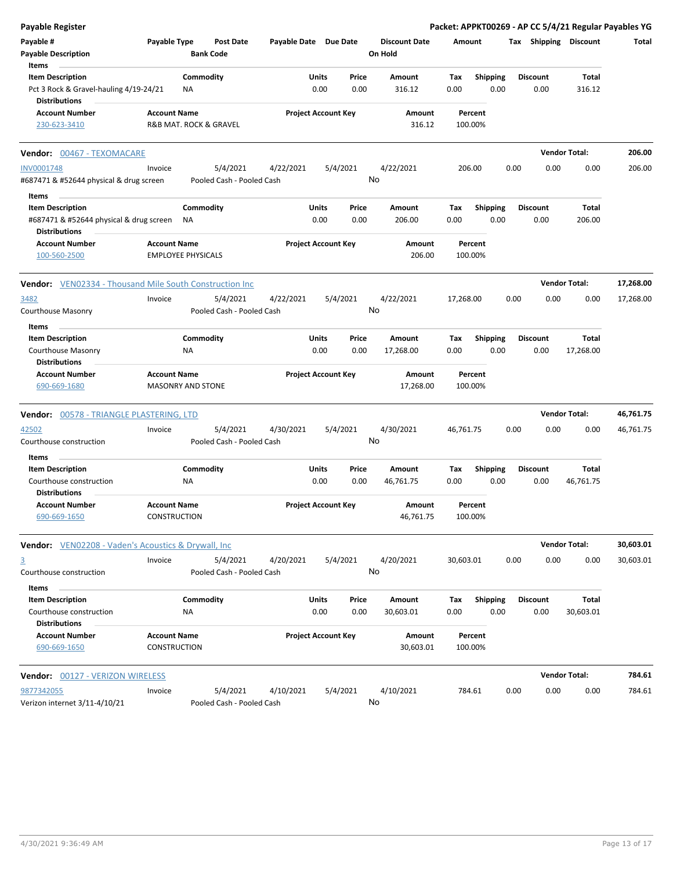| <b>Payable Register</b>                                         |                           |           |                               |                       |                            |          |                                 |           |                 |      |                 |                       | Packet: APPKT00269 - AP CC 5/4/21 Regular Payables YG |
|-----------------------------------------------------------------|---------------------------|-----------|-------------------------------|-----------------------|----------------------------|----------|---------------------------------|-----------|-----------------|------|-----------------|-----------------------|-------------------------------------------------------|
| Payable #<br><b>Payable Description</b>                         | Payable Type              |           | Post Date<br><b>Bank Code</b> | Payable Date Due Date |                            |          | <b>Discount Date</b><br>On Hold | Amount    |                 |      |                 | Tax Shipping Discount | Total                                                 |
| Items                                                           |                           |           |                               |                       |                            |          |                                 |           |                 |      |                 |                       |                                                       |
| <b>Item Description</b>                                         |                           | Commodity |                               |                       | Units                      | Price    | Amount                          | Tax       | <b>Shipping</b> |      | <b>Discount</b> | Total                 |                                                       |
| Pct 3 Rock & Gravel-hauling 4/19-24/21<br><b>Distributions</b>  |                           | NA        |                               |                       | 0.00                       | 0.00     | 316.12                          | 0.00      | 0.00            |      | 0.00            | 316.12                |                                                       |
| <b>Account Number</b>                                           | <b>Account Name</b>       |           |                               |                       | <b>Project Account Key</b> |          | Amount                          |           | Percent         |      |                 |                       |                                                       |
| 230-623-3410                                                    |                           |           | R&B MAT. ROCK & GRAVEL        |                       |                            |          | 316.12                          |           | 100.00%         |      |                 |                       |                                                       |
| Vendor: 00467 - TEXOMACARE                                      |                           |           |                               |                       |                            |          |                                 |           |                 |      |                 | <b>Vendor Total:</b>  | 206.00                                                |
| <b>INV0001748</b>                                               | Invoice                   |           | 5/4/2021                      | 4/22/2021             |                            | 5/4/2021 | 4/22/2021                       |           | 206.00          | 0.00 | 0.00            | 0.00                  | 206.00                                                |
| #687471 & #52644 physical & drug screen                         |                           |           | Pooled Cash - Pooled Cash     |                       |                            |          | No                              |           |                 |      |                 |                       |                                                       |
| Items                                                           |                           |           |                               |                       |                            |          |                                 |           |                 |      |                 |                       |                                                       |
| <b>Item Description</b>                                         |                           | Commodity |                               |                       | Units                      | Price    | Amount                          | Tax       | <b>Shipping</b> |      | <b>Discount</b> | Total                 |                                                       |
| #687471 & #52644 physical & drug screen<br><b>Distributions</b> |                           | <b>NA</b> |                               |                       | 0.00                       | 0.00     | 206.00                          | 0.00      | 0.00            |      | 0.00            | 206.00                |                                                       |
| <b>Account Number</b>                                           | <b>Account Name</b>       |           |                               |                       | <b>Project Account Key</b> |          | Amount                          |           | Percent         |      |                 |                       |                                                       |
| 100-560-2500                                                    | <b>EMPLOYEE PHYSICALS</b> |           |                               |                       |                            |          | 206.00                          |           | 100.00%         |      |                 |                       |                                                       |
| <b>Vendor:</b> VEN02334 - Thousand Mile South Construction Inc  |                           |           |                               |                       |                            |          |                                 |           |                 |      |                 | <b>Vendor Total:</b>  | 17,268.00                                             |
| 3482                                                            | Invoice                   |           | 5/4/2021                      | 4/22/2021             |                            | 5/4/2021 | 4/22/2021                       | 17,268.00 |                 | 0.00 | 0.00            | 0.00                  | 17,268.00                                             |
| Courthouse Masonry                                              |                           |           | Pooled Cash - Pooled Cash     |                       |                            |          | No                              |           |                 |      |                 |                       |                                                       |
| Items                                                           |                           |           |                               |                       |                            |          |                                 |           |                 |      |                 |                       |                                                       |
| <b>Item Description</b>                                         |                           | Commodity |                               |                       | Units                      | Price    | Amount                          | Tax       | <b>Shipping</b> |      | <b>Discount</b> | Total                 |                                                       |
| Courthouse Masonry                                              |                           | ΝA        |                               |                       | 0.00                       | 0.00     | 17,268.00                       | 0.00      | 0.00            |      | 0.00            | 17,268.00             |                                                       |
| <b>Distributions</b>                                            |                           |           |                               |                       |                            |          |                                 |           |                 |      |                 |                       |                                                       |
| <b>Account Number</b>                                           | <b>Account Name</b>       |           |                               |                       | <b>Project Account Key</b> |          | Amount                          |           | Percent         |      |                 |                       |                                                       |
| 690-669-1680                                                    | <b>MASONRY AND STONE</b>  |           |                               |                       |                            |          | 17,268.00                       |           | 100.00%         |      |                 |                       |                                                       |
| Vendor: 00578 - TRIANGLE PLASTERING, LTD                        |                           |           |                               |                       |                            |          |                                 |           |                 |      |                 | <b>Vendor Total:</b>  | 46,761.75                                             |
| 42502                                                           | Invoice                   |           | 5/4/2021                      | 4/30/2021             |                            | 5/4/2021 | 4/30/2021                       | 46,761.75 |                 | 0.00 | 0.00            | 0.00                  | 46,761.75                                             |
| Courthouse construction                                         |                           |           | Pooled Cash - Pooled Cash     |                       |                            |          | No                              |           |                 |      |                 |                       |                                                       |
| Items                                                           |                           |           |                               |                       |                            |          |                                 |           |                 |      |                 |                       |                                                       |
| <b>Item Description</b>                                         |                           | Commodity |                               |                       | Units                      | Price    | <b>Amount</b>                   | Тах       | <b>Shipping</b> |      | <b>Discount</b> | Total                 |                                                       |
| Courthouse construction                                         |                           | NA        |                               |                       | 0.00                       | 0.00     | 46,761.75                       | 0.00      | 0.00            |      | 0.00            | 46,761.75             |                                                       |
| Distributions                                                   |                           |           |                               |                       |                            |          |                                 |           |                 |      |                 |                       |                                                       |
| Account Number                                                  | <b>Account Name</b>       |           |                               |                       | <b>Project Account Key</b> |          | Amount                          |           | Percent         |      |                 |                       |                                                       |
| 690-669-1650                                                    | CONSTRUCTION              |           |                               |                       |                            |          | 46,761.75                       |           | 100.00%         |      |                 |                       |                                                       |
| Vendor: VEN02208 - Vaden's Acoustics & Drywall, Inc.            |                           |           |                               |                       |                            |          |                                 |           |                 |      |                 | <b>Vendor Total:</b>  | 30,603.01                                             |
| $\overline{3}$                                                  | Invoice                   |           | 5/4/2021                      | 4/20/2021             |                            | 5/4/2021 | 4/20/2021                       | 30,603.01 |                 | 0.00 | 0.00            | 0.00                  | 30,603.01                                             |
| Courthouse construction                                         |                           |           | Pooled Cash - Pooled Cash     |                       |                            |          | No                              |           |                 |      |                 |                       |                                                       |
| Items                                                           |                           |           |                               |                       |                            |          |                                 |           |                 |      |                 |                       |                                                       |
| <b>Item Description</b>                                         |                           | Commodity |                               |                       | Units                      | Price    | Amount                          | Tax       | <b>Shipping</b> |      | <b>Discount</b> | Total                 |                                                       |
| Courthouse construction                                         |                           | ΝA        |                               |                       | 0.00                       | 0.00     | 30,603.01                       | 0.00      | 0.00            |      | 0.00            | 30,603.01             |                                                       |
| <b>Distributions</b>                                            |                           |           |                               |                       |                            |          |                                 |           |                 |      |                 |                       |                                                       |
| <b>Account Number</b>                                           | <b>Account Name</b>       |           |                               |                       | <b>Project Account Key</b> |          | Amount                          |           | Percent         |      |                 |                       |                                                       |
| 690-669-1650                                                    | <b>CONSTRUCTION</b>       |           |                               |                       |                            |          | 30,603.01                       |           | 100.00%         |      |                 |                       |                                                       |
| Vendor: 00127 - VERIZON WIRELESS                                |                           |           |                               |                       |                            |          |                                 |           |                 |      |                 | <b>Vendor Total:</b>  | 784.61                                                |
| 9877342055                                                      | Invoice                   |           | 5/4/2021                      | 4/10/2021             |                            | 5/4/2021 | 4/10/2021                       |           | 784.61          | 0.00 | 0.00            | 0.00                  | 784.61                                                |
| Verizon internet 3/11-4/10/21                                   |                           |           | Pooled Cash - Pooled Cash     |                       |                            |          | No                              |           |                 |      |                 |                       |                                                       |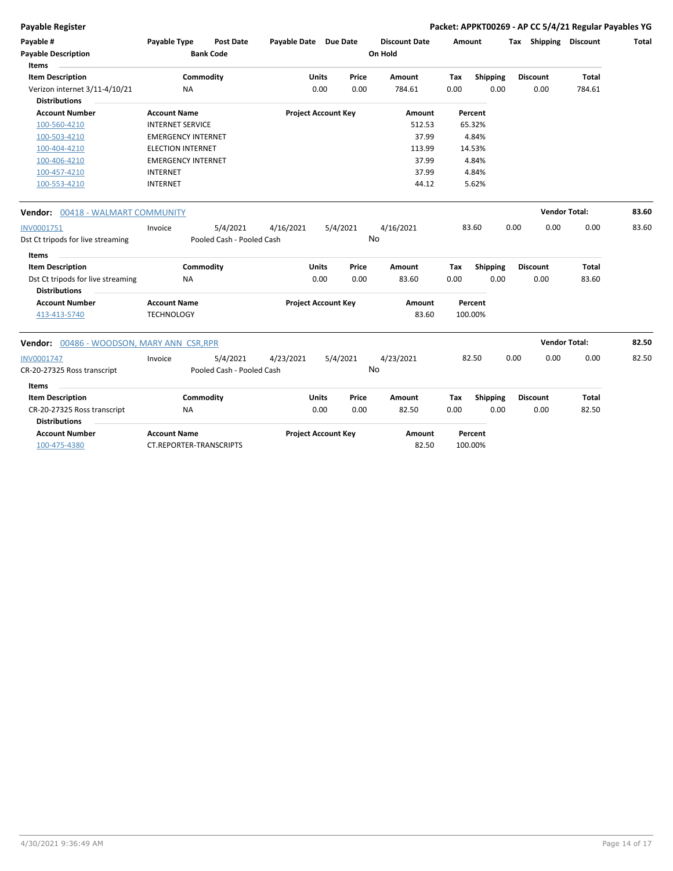**Payable Register Packet: APPKT00269 - AP CC 5/4/21 Regular Payables YG**

| Payable #<br><b>Payable Description</b><br><b>Items</b> | <b>Payable Type</b>       | <b>Post Date</b><br><b>Bank Code</b> | Payable Date Due Date      |              |       | <b>Discount Date</b><br>On Hold | Amount |                 | Tax Shipping    | Discount             | Total |
|---------------------------------------------------------|---------------------------|--------------------------------------|----------------------------|--------------|-------|---------------------------------|--------|-----------------|-----------------|----------------------|-------|
| <b>Item Description</b>                                 |                           | Commodity                            |                            | Units        | Price | Amount                          | Tax    | <b>Shipping</b> | <b>Discount</b> | Total                |       |
| Verizon internet 3/11-4/10/21                           | NA.                       |                                      |                            | 0.00         | 0.00  | 784.61                          | 0.00   | 0.00            | 0.00            | 784.61               |       |
| <b>Distributions</b>                                    |                           |                                      |                            |              |       |                                 |        |                 |                 |                      |       |
| <b>Account Number</b>                                   | <b>Account Name</b>       |                                      | <b>Project Account Key</b> |              |       | Amount                          |        | Percent         |                 |                      |       |
| 100-560-4210                                            | <b>INTERNET SERVICE</b>   |                                      |                            |              |       | 512.53                          |        | 65.32%          |                 |                      |       |
| 100-503-4210                                            | <b>EMERGENCY INTERNET</b> |                                      |                            |              |       | 37.99                           |        | 4.84%           |                 |                      |       |
| 100-404-4210                                            | <b>ELECTION INTERNET</b>  |                                      |                            |              |       | 113.99                          |        | 14.53%          |                 |                      |       |
| 100-406-4210                                            | <b>EMERGENCY INTERNET</b> |                                      |                            |              |       | 37.99                           |        | 4.84%           |                 |                      |       |
| 100-457-4210                                            | <b>INTERNET</b>           |                                      |                            |              |       | 37.99                           |        | 4.84%           |                 |                      |       |
| 100-553-4210                                            | <b>INTERNET</b>           |                                      |                            |              |       | 44.12                           |        | 5.62%           |                 |                      |       |
| <b>Vendor:</b> 00418 - WALMART COMMUNITY                |                           |                                      |                            |              |       |                                 |        |                 |                 | <b>Vendor Total:</b> | 83.60 |
| INV0001751                                              | Invoice                   | 5/4/2021                             | 4/16/2021                  | 5/4/2021     |       | 4/16/2021                       |        | 83.60           | 0.00<br>0.00    | 0.00                 | 83.60 |
| Dst Ct tripods for live streaming                       |                           | Pooled Cash - Pooled Cash            |                            |              |       | No                              |        |                 |                 |                      |       |
| Items                                                   |                           |                                      |                            |              |       |                                 |        |                 |                 |                      |       |
| <b>Item Description</b>                                 |                           | Commodity                            |                            | <b>Units</b> | Price | Amount                          | Tax    | Shipping        | <b>Discount</b> | <b>Total</b>         |       |
| Dst Ct tripods for live streaming                       | <b>NA</b>                 |                                      |                            | 0.00         | 0.00  | 83.60                           | 0.00   | 0.00            | 0.00            | 83.60                |       |
| <b>Distributions</b>                                    |                           |                                      |                            |              |       |                                 |        |                 |                 |                      |       |
| <b>Account Number</b>                                   | <b>Account Name</b>       |                                      | <b>Project Account Key</b> |              |       | Amount                          |        | Percent         |                 |                      |       |
| 413-413-5740                                            | <b>TECHNOLOGY</b>         |                                      |                            |              |       | 83.60                           |        | 100.00%         |                 |                      |       |
| Vendor: 00486 - WOODSON, MARY ANN CSR,RPR               |                           |                                      |                            |              |       |                                 |        |                 |                 | <b>Vendor Total:</b> | 82.50 |
| INV0001747                                              | Invoice                   | 5/4/2021                             | 4/23/2021                  | 5/4/2021     |       | 4/23/2021                       |        | 82.50           | 0.00<br>0.00    | 0.00                 | 82.50 |
| CR-20-27325 Ross transcript                             |                           | Pooled Cash - Pooled Cash            |                            |              |       | No                              |        |                 |                 |                      |       |
|                                                         |                           |                                      |                            |              |       |                                 |        |                 |                 |                      |       |
| Items<br><b>Item Description</b>                        |                           | Commodity                            |                            | <b>Units</b> | Price | Amount                          |        |                 | <b>Discount</b> | Total                |       |
|                                                         |                           |                                      |                            |              |       |                                 | Tax    | <b>Shipping</b> |                 |                      |       |
| CR-20-27325 Ross transcript<br><b>Distributions</b>     | <b>NA</b>                 |                                      |                            | 0.00         | 0.00  | 82.50                           | 0.00   | 0.00            | 0.00            | 82.50                |       |
| <b>Account Number</b>                                   | <b>Account Name</b>       |                                      | <b>Project Account Key</b> |              |       | Amount                          |        | Percent         |                 |                      |       |
| 100-475-4380                                            | CT.REPORTER-TRANSCRIPTS   |                                      |                            |              |       | 82.50                           |        | 100.00%         |                 |                      |       |
|                                                         |                           |                                      |                            |              |       |                                 |        |                 |                 |                      |       |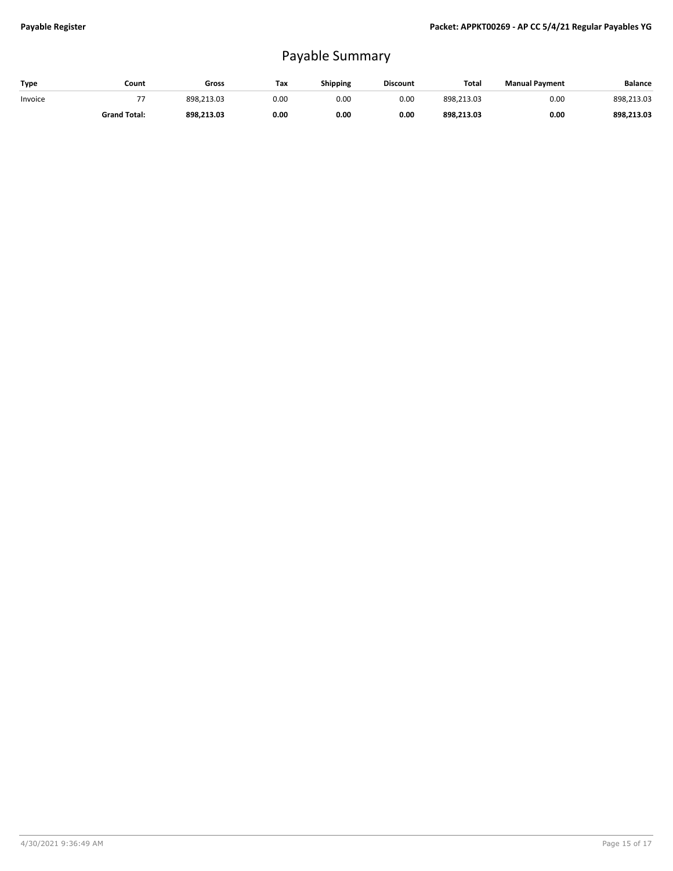## Payable Summary

| Type    | Count               | Gross      | Tax  | Shipping | <b>Discount</b> | <b>Total</b> | <b>Manual Payment</b> | <b>Balance</b> |
|---------|---------------------|------------|------|----------|-----------------|--------------|-----------------------|----------------|
| Invoice | --                  | 898.213.03 | 0.00 | 0.00     | 0.00            | 898.213.03   | 0.00                  | 898.213.03     |
|         | <b>Grand Total:</b> | 898.213.03 | 0.00 | 0.00     | 0.00            | 898.213.03   | 0.00                  | 898.213.03     |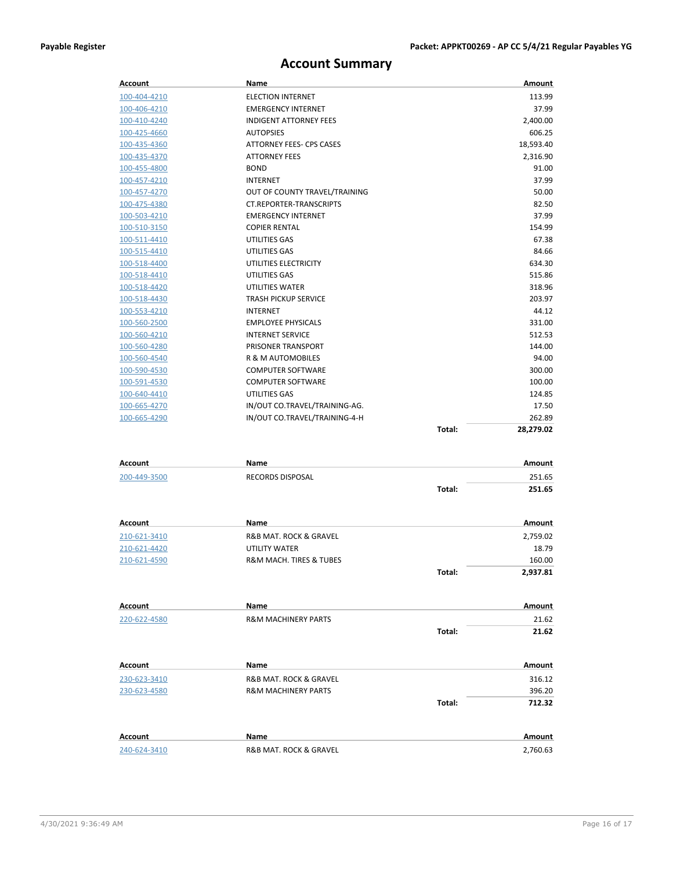## **Account Summary**

| Account             | Name                                   | Amount                     |  |
|---------------------|----------------------------------------|----------------------------|--|
| 100-404-4210        | <b>ELECTION INTERNET</b>               | 113.99                     |  |
| 100-406-4210        | <b>EMERGENCY INTERNET</b>              | 37.99                      |  |
| 100-410-4240        | <b>INDIGENT ATTORNEY FEES</b>          | 2,400.00                   |  |
| 100-425-4660        | <b>AUTOPSIES</b>                       | 606.25                     |  |
| 100-435-4360        | ATTORNEY FEES- CPS CASES               | 18,593.40                  |  |
| 100-435-4370        | <b>ATTORNEY FEES</b>                   | 2,316.90                   |  |
| 100-455-4800        | <b>BOND</b>                            | 91.00                      |  |
| 100-457-4210        | <b>INTERNET</b>                        | 37.99                      |  |
| 100-457-4270        | OUT OF COUNTY TRAVEL/TRAINING          | 50.00                      |  |
| 100-475-4380        | CT.REPORTER-TRANSCRIPTS                | 82.50                      |  |
| 100-503-4210        | <b>EMERGENCY INTERNET</b>              | 37.99                      |  |
| <u>100-510-3150</u> | <b>COPIER RENTAL</b>                   | 154.99                     |  |
| 100-511-4410        | UTILITIES GAS                          | 67.38                      |  |
| 100-515-4410        | UTILITIES GAS                          | 84.66                      |  |
| 100-518-4400        | UTILITIES ELECTRICITY                  | 634.30                     |  |
| 100-518-4410        | UTILITIES GAS                          | 515.86                     |  |
| 100-518-4420        | UTILITIES WATER                        | 318.96                     |  |
| 100-518-4430        | <b>TRASH PICKUP SERVICE</b>            | 203.97                     |  |
| 100-553-4210        | <b>INTERNET</b>                        | 44.12                      |  |
| 100-560-2500        | <b>EMPLOYEE PHYSICALS</b>              | 331.00                     |  |
| 100-560-4210        | <b>INTERNET SERVICE</b>                | 512.53                     |  |
| 100-560-4280        | PRISONER TRANSPORT                     | 144.00                     |  |
| 100-560-4540        | R & M AUTOMOBILES                      | 94.00                      |  |
| 100-590-4530        | <b>COMPUTER SOFTWARE</b>               | 300.00                     |  |
| <u>100-591-4530</u> | <b>COMPUTER SOFTWARE</b>               | 100.00                     |  |
| 100-640-4410        | UTILITIES GAS                          | 124.85                     |  |
| 100-665-4270        | IN/OUT CO.TRAVEL/TRAINING-AG.          | 17.50                      |  |
| 100-665-4290        | IN/OUT CO.TRAVEL/TRAINING-4-H          | 262.89                     |  |
|                     |                                        | Total:<br>28,279.02        |  |
|                     |                                        |                            |  |
| Account             | Name                                   | Amount                     |  |
| 200-449-3500        | <b>RECORDS DISPOSAL</b>                | 251.65                     |  |
|                     |                                        | Total:<br>251.65           |  |
|                     |                                        |                            |  |
| Account             | Name                                   | Amount                     |  |
| 210-621-3410        | R&B MAT. ROCK & GRAVEL                 | 2,759.02                   |  |
| 210-621-4420        | UTILITY WATER                          | 18.79                      |  |
| 210-621-4590        | <b>R&amp;M MACH. TIRES &amp; TUBES</b> | 160.00                     |  |
|                     |                                        | Total:<br>2,937.81         |  |
|                     |                                        |                            |  |
| Account             | Name                                   | Amount                     |  |
| 220-622-4580        | <b>R&amp;M MACHINERY PARTS</b>         | 21.62                      |  |
|                     |                                        | Total:<br>21.62            |  |
| Account             | Name                                   | Amount                     |  |
|                     |                                        |                            |  |
| 230-623-3410        | R&B MAT. ROCK & GRAVEL                 | 316.12                     |  |
| 230-623-4580        | <b>R&amp;M MACHINERY PARTS</b>         | 396.20<br>Total:<br>712.32 |  |
|                     |                                        |                            |  |
| Account             | Name                                   | Amount                     |  |
| 240-624-3410        | R&B MAT. ROCK & GRAVEL                 | 2,760.63                   |  |